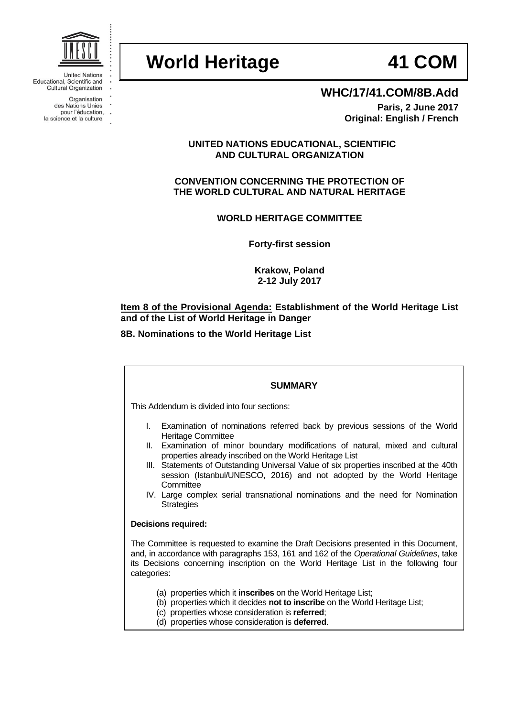

**United Nations** Educational, Scientific and **Cultural Organization** 

Organisation des Nations Unies pour l'éducation,

la science et la culture

# **World Heritage 41 COM**

## **WHC/17/41.COM/8B.Add**

**Paris, 2 June 2017 Original: English / French**

### **UNITED NATIONS EDUCATIONAL, SCIENTIFIC AND CULTURAL ORGANIZATION**

**CONVENTION CONCERNING THE PROTECTION OF THE WORLD CULTURAL AND NATURAL HERITAGE**

**WORLD HERITAGE COMMITTEE**

**Forty-first session**

**Krakow, Poland 2-12 July 2017**

### **Item 8 of the Provisional Agenda: Establishment of the World Heritage List and of the List of World Heritage in Danger**

### **8B. Nominations to the World Heritage List**

### **SUMMARY**

This Addendum is divided into four sections:

- I. Examination of nominations referred back by previous sessions of the World Heritage Committee
- II. Examination of minor boundary modifications of natural, mixed and cultural properties already inscribed on the World Heritage List
- III. Statements of Outstanding Universal Value of six properties inscribed at the 40th session (Istanbul/UNESCO, 2016) and not adopted by the World Heritage **Committee**
- IV. Large complex serial transnational nominations and the need for Nomination **Strategies**

### **Decisions required:**

The Committee is requested to examine the Draft Decisions presented in this Document, and, in accordance with paragraphs 153, 161 and 162 of the *Operational Guidelines*, take its Decisions concerning inscription on the World Heritage List in the following four categories:

- (a) properties which it **inscribes** on the World Heritage List;
- (b) properties which it decides **not to inscribe** on the World Heritage List;
- (c) properties whose consideration is **referred**;
- (d) properties whose consideration is **deferred**.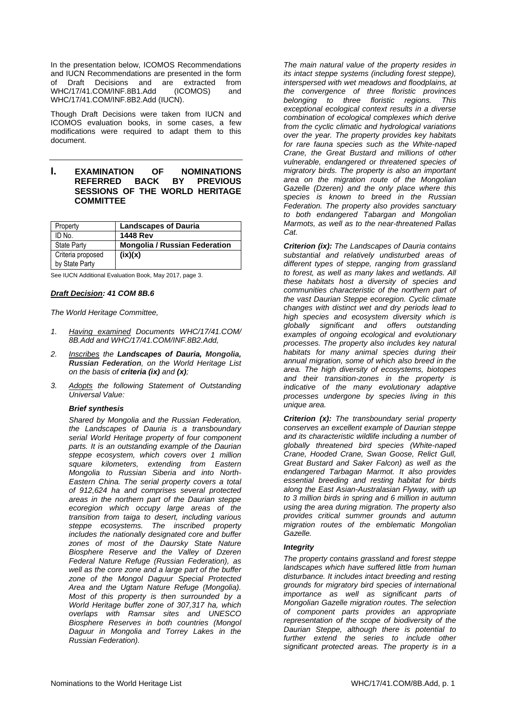In the presentation below, ICOMOS Recommendations and IUCN Recommendations are presented in the form of Draft Decisions and are extracted from WHC/17/41.COM/INF.8B1.Add (ICOMOS) and WHC/17/41.COM/INF.8B2.Add (IUCN).

Though Draft Decisions were taken from IUCN and ICOMOS evaluation books, in some cases, a few modifications were required to adapt them to this document.

#### **I. EXAMINATION OF NOMINATIONS REFERRED BACK BY PREVIOUS SESSIONS OF THE WORLD HERITAGE COMMITTEE**

| Property                            | <b>Landscapes of Dauria</b>          |
|-------------------------------------|--------------------------------------|
| ID No.                              | <b>1448 Rev</b>                      |
| <b>State Party</b>                  | <b>Mongolia / Russian Federation</b> |
| Criteria proposed<br>by State Party | (ix)(x)                              |

See IUCN Additional Evaluation Book, May 2017, page 3.

#### *Draft Decision: 41 COM 8B.6*

*The World Heritage Committee,*

- *1. Having examined Documents WHC/17/41.COM/ 8B.Add and WHC/17/41.COM/INF.8B2.Add,*
- *2. Inscribes the Landscapes of Dauria, Mongolia, Russian Federation, on the World Heritage List on the basis of criteria (ix) and (x);*
- *3. Adopts the following Statement of Outstanding Universal Value:*

#### *Brief synthesis*

*Shared by Mongolia and the Russian Federation, the Landscapes of Dauria is a transboundary serial World Heritage property of four component parts. It is an outstanding example of the Daurian steppe ecosystem, which covers over 1 million square kilometers, extending from Eastern Mongolia to Russian Siberia and into North-Eastern China. The serial property covers a total of 912,624 ha and comprises several protected areas in the northern part of the Daurian steppe ecoregion which occupy large areas of the transition from taiga to desert, including various steppe ecosystems. The inscribed property includes the nationally designated core and buffer zones of most of the Daursky State Nature Biosphere Reserve and the Valley of Dzeren Federal Nature Refuge (Russian Federation), as well as the core zone and a large part of the buffer zone of the Mongol Daguur Special Protected Area and the Ugtam Nature Refuge (Mongolia). Most of this property is then surrounded by a World Heritage buffer zone of 307,317 ha, which overlaps with Ramsar sites and UNESCO Biosphere Reserves in both countries (Mongol Daguur in Mongolia and Torrey Lakes in the Russian Federation).*

*The main natural value of the property resides in its intact steppe systems (including forest steppe), interspersed with wet meadows and floodplains, at the convergence of three floristic provinces belonging to three floristic regions. This exceptional ecological context results in a diverse combination of ecological complexes which derive from the cyclic climatic and hydrological variations over the year. The property provides key habitats for rare fauna species such as the White-naped Crane, the Great Bustard and millions of other vulnerable, endangered or threatened species of migratory birds. The property is also an important area on the migration route of the Mongolian Gazelle (Dzeren) and the only place where this species is known to breed in the Russian Federation. The property also provides sanctuary to both endangered Tabargan and Mongolian Marmots, as well as to the near-threatened Pallas Cat.* 

*Criterion (ix): The Landscapes of Dauria contains substantial and relatively undisturbed areas of different types of steppe, ranging from grassland to forest, as well as many lakes and wetlands. All these habitats host a diversity of species and communities characteristic of the northern part of the vast Daurian Steppe ecoregion. Cyclic climate changes with distinct wet and dry periods lead to high species and ecosystem diversity which is globally significant and offers outstanding examples of ongoing ecological and evolutionary processes. The property also includes key natural habitats for many animal species during their annual migration, some of which also breed in the area. The high diversity of ecosystems, biotopes and their transition-zones in the property is indicative of the many evolutionary adaptive processes undergone by species living in this unique area.*

*Criterion (x): The transboundary serial property conserves an excellent example of Daurian steppe and its characteristic wildlife including a number of globally threatened bird species (White-naped Crane, Hooded Crane, Swan Goose, Relict Gull, Great Bustard and Saker Falcon) as well as the endangered Tarbagan Marmot. It also provides essential breeding and resting habitat for birds along the East Asian-Australasian Flyway, with up to 3 million birds in spring and 6 million in autumn using the area during migration. The property also provides critical summer grounds and autumn migration routes of the emblematic Mongolian Gazelle.* 

#### *Integrity*

*The property contains grassland and forest steppe landscapes which have suffered little from human disturbance. It includes intact breeding and resting grounds for migratory bird species of international importance as well as significant parts of Mongolian Gazelle migration routes. The selection of component parts provides an appropriate representation of the scope of biodiversity of the Daurian Steppe, although there is potential to further extend the series to include other significant protected areas. The property is in a*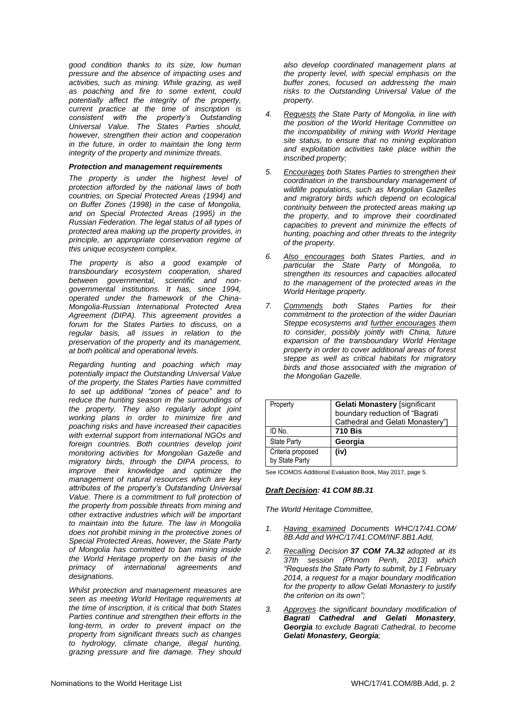*good condition thanks to its size, low human pressure and the absence of impacting uses and activities, such as mining. While grazing, as well as poaching and fire to some extent, could potentially affect the integrity of the property, current practice at the time of inscription is consistent with the property's Outstanding Universal Value. The States Parties should, however, strengthen their action and cooperation in the future, in order to maintain the long term integrity of the property and minimize threats.*

#### *Protection and management requirements*

*The property is under the highest level of protection afforded by the national laws of both countries, on Special Protected Areas (1994) and on Buffer Zones (1998) in the case of Mongolia, and on Special Protected Areas (1995) in the Russian Federation. The legal status of all types of protected area making up the property provides, in principle, an appropriate conservation regime of this unique ecosystem complex.* 

*The property is also a good example of transboundary ecosystem cooperation, shared between governmental, scientific and nongovernmental institutions. It has, since 1994, operated under the framework of the China-Mongolia-Russian International Protected Area Agreement (DIPA). This agreement provides a forum for the States Parties to discuss, on a regular basis, all issues in relation to the preservation of the property and its management, at both political and operational levels.*

*Regarding hunting and poaching which may potentially impact the Outstanding Universal Value of the property, the States Parties have committed to set up additional "zones of peace" and to reduce the hunting season in the surroundings of the property. They also regularly adopt joint working plans in order to minimize fire and poaching risks and have increased their capacities with external support from international NGOs and foreign countries. Both countries develop joint monitoring activities for Mongolian Gazelle and migratory birds, through the DIPA process, to improve their knowledge and optimize the management of natural resources which are key attributes of the property's Outstanding Universal Value. There is a commitment to full protection of the property from possible threats from mining and other extractive industries which will be important to maintain into the future. The law in Mongolia does not prohibit mining in the protective zones of Special Protected Areas, however, the State Party of Mongolia has committed to ban mining inside the World Heritage property on the basis of the primacy of international agreements and designations.*

*Whilst protection and management measures are seen as meeting World Heritage requirements at the time of inscription, it is critical that both States Parties continue and strengthen their efforts in the long-term, in order to prevent impact on the property from significant threats such as changes to hydrology, climate change, illegal hunting, grazing pressure and fire damage. They should* 

*also develop coordinated management plans at the property level, with special emphasis on the buffer zones, focused on addressing the main risks to the Outstanding Universal Value of the property.*

- *4. Requests the State Party of Mongolia, in line with the position of the World Heritage Committee on the incompatibility of mining with World Heritage site status, to ensure that no mining exploration and exploitation activities take place within the inscribed property;*
- *5. Encourages both States Parties to strengthen their coordination in the transboundary management of wildlife populations, such as Mongolian Gazelles and migratory birds which depend on ecological continuity between the protected areas making up the property, and to improve their coordinated capacities to prevent and minimize the effects of hunting, poaching and other threats to the integrity of the property.*
- *6. Also encourages both States Parties, and in particular the State Party of Mongolia, to strengthen its resources and capacities allocated to the management of the protected areas in the World Heritage property.*
- *7. Commends both States Parties for their commitment to the protection of the wider Daurian Steppe ecosystems and further encourages them to consider, possibly jointly with China, future expansion of the transboundary World Heritage property in order to cover additional areas of forest steppe as well as critical habitats for migratory birds and those associated with the migration of the Mongolian Gazelle.*

| Property                            | <b>Gelati Monastery [significant</b><br>boundary reduction of "Bagrati<br>Cathedral and Gelati Monastery"] |
|-------------------------------------|------------------------------------------------------------------------------------------------------------|
| ID No.                              | <b>710 Bis</b>                                                                                             |
| <b>State Party</b>                  | Georgia                                                                                                    |
| Criteria proposed<br>by State Party | (iv)                                                                                                       |

See ICOMOS Additional Evaluation Book, May 2017, page 5.

#### *Draft Decision: 41 COM 8B.31*

- *1. Having examined Documents WHC/17/41.COM/ 8B.Add and WHC/17/41.COM/INF.8B1.Add,*
- *2. Recalling Decision 37 COM 7A.32 adopted at its 37th session (Phnom Penh, 2013) which "Requests the State Party to submit, by 1 February 2014, a request for a major boundary modification for the property to allow Gelati Monastery to justify the criterion on its own";*
- *3. Approves the significant boundary modification of Bagrati Cathedral and Gelati Monastery, Georgia to exclude Bagrati Cathedral, to become Gelati Monastery, Georgia;*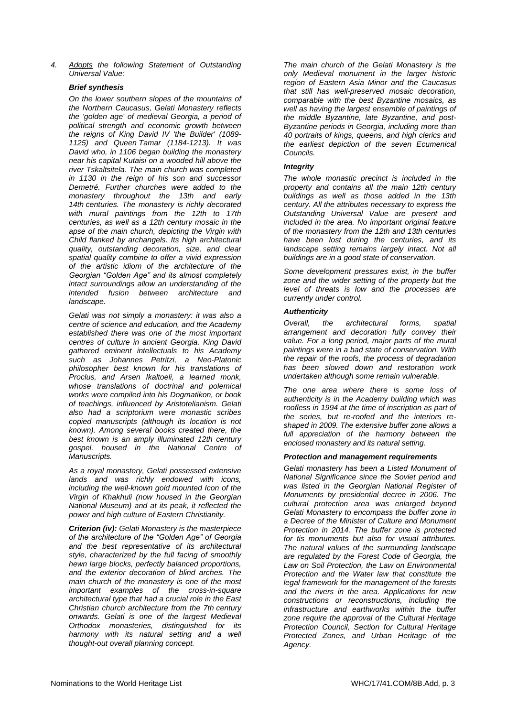*4. Adopts the following Statement of Outstanding Universal Value:*

#### *Brief synthesis*

*On the lower southern slopes of the mountains of the Northern Caucasus, Gelati Monastery reflects the 'golden age' of medieval Georgia, a period of political strength and economic growth between the reigns of King David IV 'the Builder' (1089- 1125) and Queen Tamar (1184-1213). It was David who, in 1106 began building the monastery near his capital Kutaisi on a wooded hill above the river Tskaltsitela. The main church was completed in 1130 in the reign of his son and successor Demetré. Further churches were added to the monastery throughout the 13th and early 14th centuries. The monastery is richly decorated with mural paintings from the 12th to 17th centuries, as well as a 12th century mosaic in the apse of the main church, depicting the Virgin with Child flanked by archangels. Its high architectural quality, outstanding decoration, size, and clear spatial quality combine to offer a vivid expression of the artistic idiom of the architecture of the Georgian "Golden Age" and its almost completely intact surroundings allow an understanding of the intended fusion between architecture and landscape.*

*Gelati was not simply a monastery: it was also a centre of science and education, and the Academy established there was one of the most important centres of culture in ancient Georgia. King David gathered eminent intellectuals to his Academy such as Johannes Petritzi, a Neo-Platonic philosopher best known for his translations of Proclus, and Arsen Ikaltoeli, a learned monk, whose translations of doctrinal and polemical works were compiled into his Dogmatikon, or book of teachings, influenced by Aristotelianism. Gelati also had a scriptorium were monastic scribes copied manuscripts (although its location is not known). Among several books created there, the best known is an amply illuminated 12th century gospel, housed in the National Centre of Manuscripts.*

*As a royal monastery, Gelati possessed extensive lands and was richly endowed with icons, including the well-known gold mounted Icon of the Virgin of Khakhuli (now housed in the Georgian National Museum) and at its peak, it reflected the power and high culture of Eastern Christianity.*

*Criterion (iv): Gelati Monastery is the masterpiece of the architecture of the "Golden Age" of Georgia and the best representative of its architectural style, characterized by the full facing of smoothly hewn large blocks, perfectly balanced proportions, and the exterior decoration of blind arches. The main church of the monastery is one of the most important examples of the cross-in-square architectural type that had a crucial role in the East Christian church architecture from the 7th century onwards. Gelati is one of the largest Medieval Orthodox monasteries, distinguished for its harmony with its natural setting and a well thought-out overall planning concept.*

*The main church of the Gelati Monastery is the only Medieval monument in the larger historic region of Eastern Asia Minor and the Caucasus that still has well-preserved mosaic decoration, comparable with the best Byzantine mosaics, as well as having the largest ensemble of paintings of the middle Byzantine, late Byzantine, and post-Byzantine periods in Georgia, including more than 40 portraits of kings, queens, and high clerics and the earliest depiction of the seven Ecumenical Councils.*

#### *Integrity*

*The whole monastic precinct is included in the property and contains all the main 12th century buildings as well as those added in the 13th century. All the attributes necessary to express the Outstanding Universal Value are present and included in the area. No important original feature of the monastery from the 12th and 13th centuries have been lost during the centuries, and its landscape setting remains largely intact. Not all buildings are in a good state of conservation.* 

*Some development pressures exist, in the buffer zone and the wider setting of the property but the level of threats is low and the processes are currently under control.* 

#### *Authenticity*

*Overall, the architectural forms, spatial arrangement and decoration fully convey their value. For a long period, major parts of the mural paintings were in a bad state of conservation. With the repair of the roofs, the process of degradation has been slowed down and restoration work undertaken although some remain vulnerable.*

*The one area where there is some loss of authenticity is in the Academy building which was roofless in 1994 at the time of inscription as part of the series, but re-roofed and the interiors reshaped in 2009. The extensive buffer zone allows a full appreciation of the harmony between the enclosed monastery and its natural setting.* 

#### *Protection and management requirements*

*Gelati monastery has been a Listed Monument of National Significance since the Soviet period and was listed in the Georgian National Register of Monuments by presidential decree in 2006. The cultural protection area was enlarged beyond Gelati Monastery to encompass the buffer zone in a Decree of the Minister of Culture and Monument Protection in 2014. The buffer zone is protected for tis monuments but also for visual attributes. The natural values of the surrounding landscape are regulated by the Forest Code of Georgia, the Law on Soil Protection, the Law on Environmental Protection and the Water law that constitute the legal framework for the management of the forests and the rivers in the area. Applications for new constructions or reconstructions, including the infrastructure and earthworks within the buffer zone require the approval of the Cultural Heritage Protection Council, Section for Cultural Heritage Protected Zones, and Urban Heritage of the Agency.*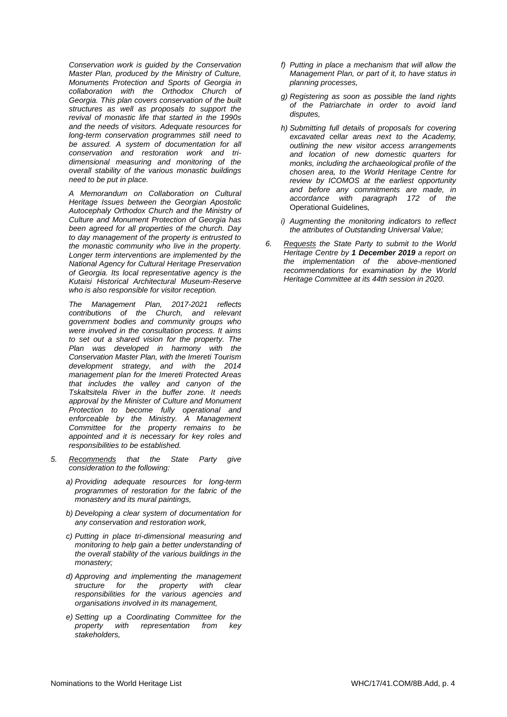*Conservation work is guided by the Conservation Master Plan, produced by the Ministry of Culture, Monuments Protection and Sports of Georgia in collaboration with the Orthodox Church of Georgia. This plan covers conservation of the built structures as well as proposals to support the revival of monastic life that started in the 1990s and the needs of visitors. Adequate resources for long-term conservation programmes still need to be assured. A system of documentation for all conservation and restoration work and tridimensional measuring and monitoring of the overall stability of the various monastic buildings need to be put in place.* 

*A Memorandum on Collaboration on Cultural Heritage Issues between the Georgian Apostolic Autocephaly Orthodox Church and the Ministry of Culture and Monument Protection of Georgia has been agreed for all properties of the church. Day to day management of the property is entrusted to the monastic community who live in the property. Longer term interventions are implemented by the National Agency for Cultural Heritage Preservation of Georgia. Its local representative agency is the Kutaisi Historical Architectural Museum-Reserve who is also responsible for visitor reception.* 

*The Management Plan, 2017-2021 reflects contributions of the Church, and relevant government bodies and community groups who were involved in the consultation process. It aims to set out a shared vision for the property. The Plan was developed in harmony with the Conservation Master Plan, with the Imereti Tourism development strategy, and with the 2014 management plan for the Imereti Protected Areas that includes the valley and canyon of the Tskaltsitela River in the buffer zone. It needs approval by the Minister of Culture and Monument Protection to become fully operational and enforceable by the Ministry. A Management Committee for the property remains to be appointed and it is necessary for key roles and responsibilities to be established.*

- *5. Recommends that the State Party give consideration to the following:*
	- *a) Providing adequate resources for long-term programmes of restoration for the fabric of the monastery and its mural paintings,*
	- *b) Developing a clear system of documentation for any conservation and restoration work,*
	- *c) Putting in place tri-dimensional measuring and monitoring to help gain a better understanding of the overall stability of the various buildings in the monastery;*
	- *d) Approving and implementing the management structure for the property with clear responsibilities for the various agencies and organisations involved in its management,*
	- *e) Setting up a Coordinating Committee for the property with representation from key stakeholders,*
- *f) Putting in place a mechanism that will allow the Management Plan, or part of it, to have status in planning processes,*
- *g) Registering as soon as possible the land rights of the Patriarchate in order to avoid land disputes,*
- *h) Submitting full details of proposals for covering excavated cellar areas next to the Academy, outlining the new visitor access arrangements and location of new domestic quarters for monks, including the archaeological profile of the chosen area, to the World Heritage Centre for review by ICOMOS at the earliest opportunity and before any commitments are made, in accordance with paragraph 172 of the*  Operational Guidelines*,*
- *i) Augmenting the monitoring indicators to reflect the attributes of Outstanding Universal Value;*
- *6. Requests the State Party to submit to the World Heritage Centre by 1 December 2019 a report on the implementation of the above-mentioned recommendations for examination by the World Heritage Committee at its 44th session in 2020.*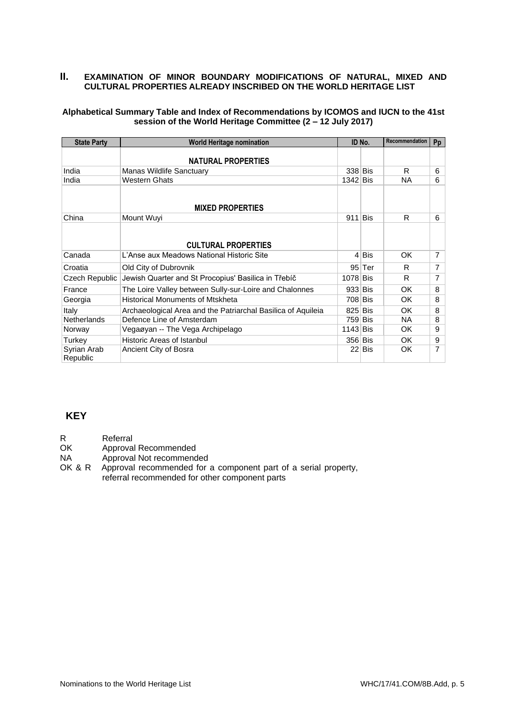### **II. EXAMINATION OF MINOR BOUNDARY MODIFICATIONS OF NATURAL, MIXED AND CULTURAL PROPERTIES ALREADY INSCRIBED ON THE WORLD HERITAGE LIST**

### **Alphabetical Summary Table and Index of Recommendations by ICOMOS and IUCN to the 41st session of the World Heritage Committee (2 – 12 July 2017)**

| <b>State Party</b>      | <b>World Heritage nomination</b>                             |            | ID No.   | Recommendation | Pp             |
|-------------------------|--------------------------------------------------------------|------------|----------|----------------|----------------|
|                         | <b>NATURAL PROPERTIES</b>                                    |            |          |                |                |
| India                   | Manas Wildlife Sanctuary                                     | 338 Bis    |          | R              | 6              |
| India                   | <b>Western Ghats</b>                                         | 1342 Bis   |          | <b>NA</b>      | 6              |
|                         | <b>MIXED PROPERTIES</b>                                      |            |          |                |                |
| China                   | Mount Wuyi                                                   | 911        | Bis      | R              | 6              |
|                         | <b>CULTURAL PROPERTIES</b>                                   |            |          |                |                |
| Canada                  | L'Anse aux Meadows National Historic Site                    |            | 4  Bis   | OK.            | $\overline{7}$ |
| Croatia                 | Old City of Dubrovnik                                        |            | $95$ Ter | R              | $\overline{7}$ |
| Czech Republic          | Jewish Quarter and St Procopius' Basilica in Třebíč          |            | 1078 Bis | R              | 7              |
| France                  | The Loire Valley between Sully-sur-Loire and Chalonnes       | $933$ Bis  |          | OK.            | 8              |
| Georgia                 | <b>Historical Monuments of Mtskheta</b>                      | 708 Bis    |          | OK             | 8              |
| Italy                   | Archaeological Area and the Patriarchal Basilica of Aquileia | 825 Bis    |          | OK.            | 8              |
| <b>Netherlands</b>      | Defence Line of Amsterdam                                    | 759 Bis    |          | NA.            | 8              |
| Norway                  | Vegaøyan -- The Vega Archipelago                             | $1143$ Bis |          | OK.            | 9              |
| Turkey                  | Historic Areas of Istanbul                                   | 356 Bis    |          | OK.            | 9              |
| Syrian Arab<br>Republic | Ancient City of Bosra                                        |            | 22  Bis  | OK             | 7              |

### **KEY**

R Referral

OK Approval Recommended

NA Approval Not recommended<br>OK & R Approval recommended for

Approval recommended for a component part of a serial property, referral recommended for other component parts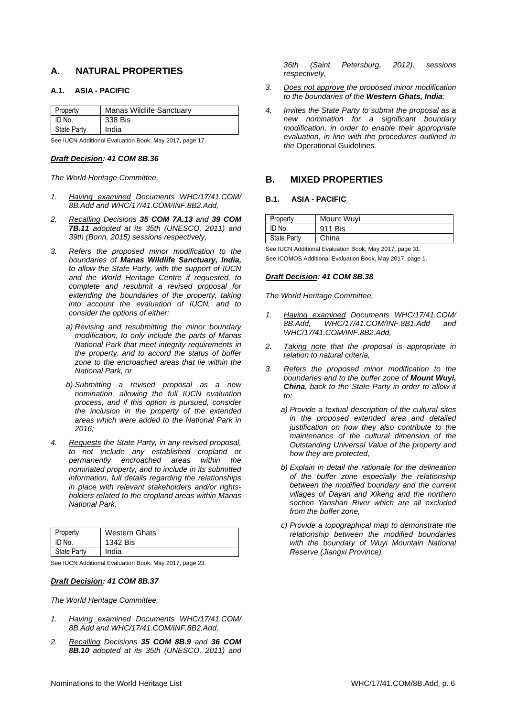### **A. NATURAL PROPERTIES**

#### **A.1. ASIA - PACIFIC**

| Property            | <b>Manas Wildlife Sanctuary</b> |
|---------------------|---------------------------------|
| $\mathsf{I}$ ID No. | 338 Bis                         |
| State Party         | India                           |

See IUCN Additional Evaluation Book, May 2017, page 17.

#### *Draft Decision: 41 COM 8B.36*

*The World Heritage Committee,*

- *1. Having examined Documents WHC/17/41.COM/ 8B.Add and WHC/17/41.COM/INF.8B2.Add,*
- *2. Recalling Decisions 35 COM 7A.13 and 39 COM 7B.11 adopted at its 35th (UNESCO, 2011) and 39th (Bonn, 2015) sessions respectively,*
- *3. Refers the proposed minor modification to the boundaries of Manas Wildlife Sanctuary, India, to allow the State Party, with the support of IUCN and the World Heritage Centre if requested, to complete and resubmit a revised proposal for extending the boundaries of the property, taking into account the evaluation of IUCN, and to consider the options of either:* 
	- *a) Revising and resubmitting the minor boundary modification, to only include the parts of Manas National Park that meet integrity requirements in the property, and to accord the status of buffer zone to the encroached areas that lie within the National Park, or*
	- *b) Submitting a revised proposal as a new nomination, allowing the full IUCN evaluation process, and if this option is pursued, consider the inclusion in the property of the extended areas which were added to the National Park in 2016;*
- *4. Requests the State Party, in any revised proposal, to not include any established cropland or permanently encroached areas within the nominated property, and to include in its submitted information, full details regarding the relationships in place with relevant stakeholders and/or rightsholders related to the cropland areas within Manas National Park.*

| Property    | <b>Western Ghats</b> |
|-------------|----------------------|
| I ID No.    | 1342 Bis             |
| State Party | India                |

See IUCN Additional Evaluation Book, May 2017, page 23.

#### *Draft Decision: 41 COM 8B.37*

*The World Heritage Committee,*

- *1. Having examined Documents WHC/17/41.COM/ 8B.Add and WHC/17/41.COM/INF.8B2.Add,*
- *2. Recalling Decisions 35 COM 8B.9 and 36 COM 8B.10 adopted at its 35th (UNESCO, 2011) and*

*36th (Saint Petersburg, 2012), sessions respectively,*

- *3. Does not approve the proposed minor modification to the boundaries of the Western Ghats, India;*
- *4. Invites the State Party to submit the proposal as a new nomination for a significant boundary modification, in order to enable their appropriate evaluation, in line with the procedures outlined in the* Operational Guidelines*.*

#### **B. MIXED PROPERTIES**

#### **B.1. ASIA - PACIFIC**

| Property           | Mount Wuyi |
|--------------------|------------|
| ID No.             | 911 Bis    |
| <b>State Party</b> | China      |

See IUCN Additional Evaluation Book, May 2017, page 31. See ICOMOS Additional Evaluation Book, May 2017, page 1.

#### *Draft Decision: 41 COM 8B.38*

- *1. Having examined Documents WHC/17/41.COM/ 8B.Add, WHC/17/41.COM/INF.8B1.Add and WHC/17/41.COM/INF.8B2.Add,*
- *2. Taking note that the proposal is appropriate in relation to natural criteria,*
- *3. Refers the proposed minor modification to the boundaries and to the buffer zone of Mount Wuyi, China, back to the State Party in order to allow it to:*
	- *a) Provide a textual description of the cultural sites in the proposed extended area and detailed justification on how they also contribute to the maintenance of the cultural dimension of the Outstanding Universal Value of the property and how they are protected,*
	- *b) Explain in detail the rationale for the delineation of the buffer zone especially the relationship between the modified boundary and the current villages of Dayan and Xikeng and the northern section Yanshan River which are all excluded from the buffer zone,*
	- *c) Provide a topographical map to demonstrate the relationship between the modified boundaries with the boundary of Wuyi Mountain National Reserve (Jiangxi Province).*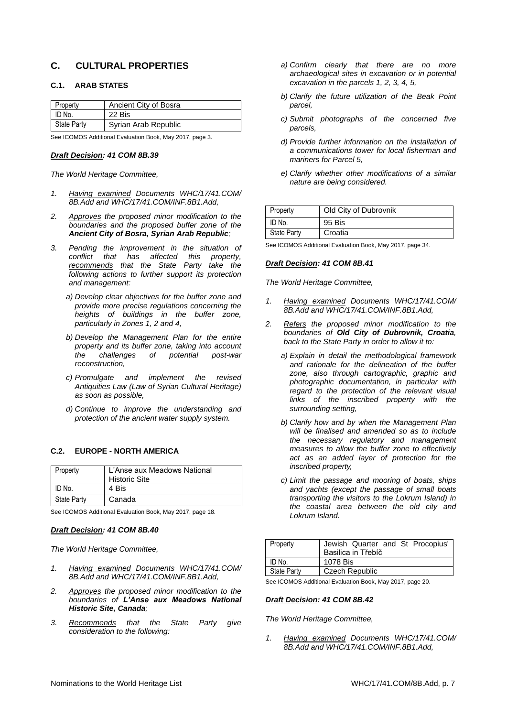### **C. CULTURAL PROPERTIES**

### **C.1. ARAB STATES**

| Property           | Ancient City of Bosra |
|--------------------|-----------------------|
| ID No.             | 22 Bis                |
| <b>State Party</b> | Syrian Arab Republic  |

See ICOMOS Additional Evaluation Book, May 2017, page 3.

#### *Draft Decision: 41 COM 8B.39*

*The World Heritage Committee,*

- *1. Having examined Documents WHC/17/41.COM/ 8B.Add and WHC/17/41.COM/INF.8B1.Add,*
- *2. Approves the proposed minor modification to the boundaries and the proposed buffer zone of the Ancient City of Bosra, Syrian Arab Republic;*
- *3. Pending the improvement in the situation of conflict that has affected this property, recommends that the State Party take the following actions to further support its protection and management:*
	- *a) Develop clear objectives for the buffer zone and provide more precise regulations concerning the heights of buildings in the buffer zone, particularly in Zones 1, 2 and 4,*
	- *b) Develop the Management Plan for the entire property and its buffer zone, taking into account the challenges of potential post-war reconstruction,*
	- *c) Promulgate and implement the revised Antiquities Law (Law of Syrian Cultural Heritage) as soon as possible,*
	- *d) Continue to improve the understanding and protection of the ancient water supply system.*

#### **C.2. EUROPE - NORTH AMERICA**

| Property           | L'Anse aux Meadows National<br><b>Historic Site</b> |
|--------------------|-----------------------------------------------------|
| ID No.             | 4 Bis                                               |
| <b>State Party</b> | Canada                                              |

See ICOMOS Additional Evaluation Book, May 2017, page 18.

#### *Draft Decision: 41 COM 8B.40*

*The World Heritage Committee,*

- *1. Having examined Documents WHC/17/41.COM/ 8B.Add and WHC/17/41.COM/INF.8B1.Add,*
- *2. Approves the proposed minor modification to the boundaries of L'Anse aux Meadows National Historic Site, Canada;*
- *3. Recommends that the State Party give consideration to the following:*
- *a) Confirm clearly that there are no more archaeological sites in excavation or in potential excavation in the parcels 1, 2, 3, 4, 5,*
- *b) Clarify the future utilization of the Beak Point parcel,*
- *c) Submit photographs of the concerned five parcels,*
- *d) Provide further information on the installation of a communications tower for local fisherman and mariners for Parcel 5,*
- *e) Clarify whether other modifications of a similar nature are being considered.*

| Property           | Old City of Dubrovnik |
|--------------------|-----------------------|
| ID No.             | 95 Bis                |
| <b>State Party</b> | Croatia               |

See ICOMOS Additional Evaluation Book, May 2017, page 34.

#### *Draft Decision: 41 COM 8B.41*

*The World Heritage Committee,*

- *1. Having examined Documents WHC/17/41.COM/ 8B.Add and WHC/17/41.COM/INF.8B1.Add,*
- *2. Refers the proposed minor modification to the boundaries of Old City of Dubrovnik, Croatia, back to the State Party in order to allow it to:*
	- *a) Explain in detail the methodological framework and rationale for the delineation of the buffer zone, also through cartographic, graphic and photographic documentation, in particular with regard to the protection of the relevant visual links of the inscribed property with the surrounding setting,*
	- *b) Clarify how and by when the Management Plan will be finalised and amended so as to include the necessary regulatory and management measures to allow the buffer zone to effectively act as an added layer of protection for the inscribed property,*
	- *c) Limit the passage and mooring of boats, ships and yachts (except the passage of small boats transporting the visitors to the Lokrum Island) in the coastal area between the old city and Lokrum Island.*

| Property           | Jewish Quarter and St Procopius' |
|--------------------|----------------------------------|
|                    | Basilica in Třebíč               |
| ID No.             | 1078 Bis                         |
| <b>State Party</b> | Czech Republic                   |

See ICOMOS Additional Evaluation Book, May 2017, page 20.

#### *Draft Decision: 41 COM 8B.42*

*The World Heritage Committee,*

*1. Having examined Documents WHC/17/41.COM/ 8B.Add and WHC/17/41.COM/INF.8B1.Add,*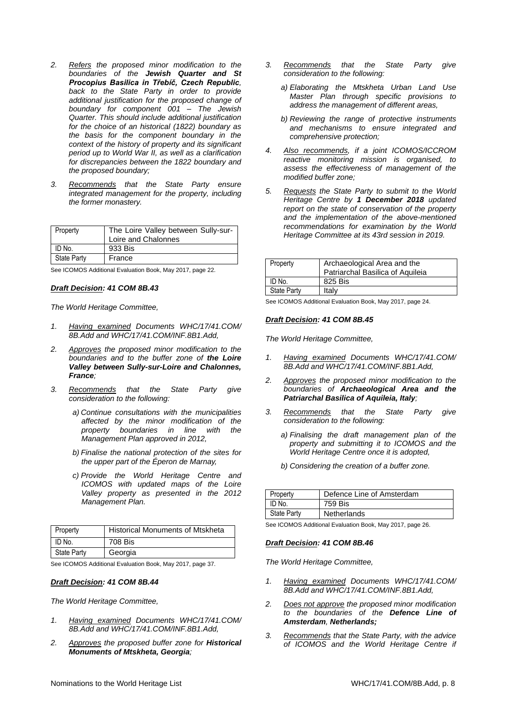- *2. Refers the proposed minor modification to the boundaries of the Jewish Quarter and St Procopius Basilica in Třebíč, Czech Republic, back to the State Party in order to provide additional justification for the proposed change of boundary for component 001 – The Jewish Quarter. This should include additional justification for the choice of an historical (1822) boundary as the basis for the component boundary in the context of the history of property and its significant period up to World War II, as well as a clarification for discrepancies between the 1822 boundary and the proposed boundary;*
- *3. Recommends that the State Party ensure integrated management for the property, including the former monastery.*

| Property           | The Loire Valley between Sully-sur- |
|--------------------|-------------------------------------|
|                    | Loire and Chalonnes                 |
| ID No.             | 933 Bis                             |
| <b>State Party</b> | France                              |

See ICOMOS Additional Evaluation Book, May 2017, page 22.

#### *Draft Decision: 41 COM 8B.43*

*The World Heritage Committee,*

- *1. Having examined Documents WHC/17/41.COM/ 8B.Add and WHC/17/41.COM/INF.8B1.Add,*
- *2. Approves the proposed minor modification to the boundaries and to the buffer zone of the Loire Valley between Sully-sur-Loire and Chalonnes, France;*
- *3. Recommends that the State Party give consideration to the following:*
	- *a) Continue consultations with the municipalities affected by the minor modification of the property boundaries in line with the Management Plan approved in 2012,*
	- *b) Finalise the national protection of the sites for the upper part of the Éperon de Marnay,*
	- *c) Provide the World Heritage Centre and ICOMOS with updated maps of the Loire Valley property as presented in the 2012 Management Plan.*

| Property           | <b>Historical Monuments of Mtskheta</b> |
|--------------------|-----------------------------------------|
| ID No.             | 708 Bis                                 |
| <b>State Party</b> | Georgia                                 |

See ICOMOS Additional Evaluation Book, May 2017, page 37.

#### *Draft Decision: 41 COM 8B.44*

*The World Heritage Committee,*

- *1. Having examined Documents WHC/17/41.COM/ 8B.Add and WHC/17/41.COM/INF.8B1.Add,*
- *2. Approves the proposed buffer zone for Historical Monuments of Mtskheta, Georgia;*
- *3. Recommends that the State Party give consideration to the following:*
	- *a) Elaborating the Mtskheta Urban Land Use Master Plan through specific provisions to address the management of different areas,*
	- *b) Reviewing the range of protective instruments and mechanisms to ensure integrated and comprehensive protection;*
- *4. Also recommends, if a joint ICOMOS/ICCROM reactive monitoring mission is organised, to assess the effectiveness of management of the modified buffer zone;*
- *5. Requests the State Party to submit to the World Heritage Centre by 1 December 2018 updated report on the state of conservation of the property and the implementation of the above-mentioned recommendations for examination by the World Heritage Committee at its 43rd session in 2019.*

| Property           | Archaeological Area and the<br>Patriarchal Basilica of Aquileia |
|--------------------|-----------------------------------------------------------------|
| ID No.             | 825 Bis                                                         |
| <b>State Party</b> | Italv                                                           |

See ICOMOS Additional Evaluation Book, May 2017, page 24.

#### *Draft Decision: 41 COM 8B.45*

*The World Heritage Committee,*

- *1. Having examined Documents WHC/17/41.COM/ 8B.Add and WHC/17/41.COM/INF.8B1.Add,*
- *2. Approves the proposed minor modification to the boundaries of Archaeological Area and the Patriarchal Basilica of Aquileia, Italy;*
- *3. Recommends that the State Party give consideration to the following:*
	- *a) Finalising the draft management plan of the property and submitting it to ICOMOS and the World Heritage Centre once it is adopted,*
	- *b) Considering the creation of a buffer zone.*

| Property           | Defence Line of Amsterdam |
|--------------------|---------------------------|
| ID No.             | 759 Bis                   |
| <b>State Party</b> | <b>Netherlands</b>        |

See ICOMOS Additional Evaluation Book, May 2017, page 26.

#### *Draft Decision: 41 COM 8B.46*

- *1. Having examined Documents WHC/17/41.COM/ 8B.Add and WHC/17/41.COM/INF.8B1.Add,*
- *2. Does not approve the proposed minor modification to the boundaries of the Defence Line of Amsterdam, Netherlands;*
- *3. Recommends that the State Party, with the advice of ICOMOS and the World Heritage Centre if*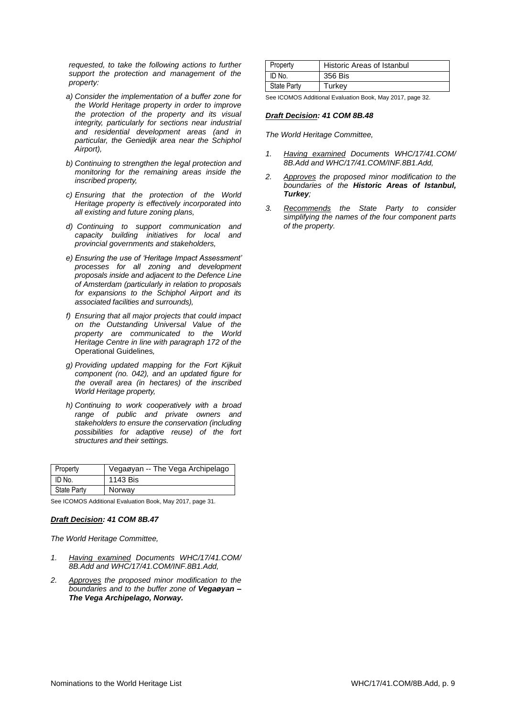*requested, to take the following actions to further support the protection and management of the property:*

- *a) Consider the implementation of a buffer zone for the World Heritage property in order to improve the protection of the property and its visual integrity, particularly for sections near industrial and residential development areas (and in particular, the Geniedijk area near the Schiphol Airport),*
- *b) Continuing to strengthen the legal protection and monitoring for the remaining areas inside the inscribed property,*
- *c) Ensuring that the protection of the World Heritage property is effectively incorporated into all existing and future zoning plans,*
- *d) Continuing to support communication and capacity building initiatives for local and provincial governments and stakeholders,*
- *e) Ensuring the use of 'Heritage Impact Assessment' processes for all zoning and development proposals inside and adjacent to the Defence Line of Amsterdam (particularly in relation to proposals for expansions to the Schiphol Airport and its associated facilities and surrounds),*
- *f) Ensuring that all major projects that could impact on the Outstanding Universal Value of the property are communicated to the World Heritage Centre in line with paragraph 172 of the*  Operational Guidelines*,*
- *g) Providing updated mapping for the Fort Kijkuit component (no. 042), and an updated figure for the overall area (in hectares) of the inscribed World Heritage property,*
- *h) Continuing to work cooperatively with a broad range of public and private owners and stakeholders to ensure the conservation (including possibilities for adaptive reuse) of the fort structures and their settings.*

| Property           | Vegaøyan -- The Vega Archipelago |
|--------------------|----------------------------------|
| ID No.             | 1143 Bis                         |
| <b>State Party</b> | Norway                           |

See ICOMOS Additional Evaluation Book, May 2017, page 31.

#### *Draft Decision: 41 COM 8B.47*

*The World Heritage Committee,*

- *1. Having examined Documents WHC/17/41.COM/ 8B.Add and WHC/17/41.COM/INF.8B1.Add,*
- *2. Approves the proposed minor modification to the boundaries and to the buffer zone of Vegaøyan – The Vega Archipelago, Norway.*

| Property           | <b>Historic Areas of Istanbul</b> |
|--------------------|-----------------------------------|
| ID No.             | 356 Bis                           |
| <b>State Party</b> | Turkev                            |

See ICOMOS Additional Evaluation Book, May 2017, page 32.

#### *Draft Decision: 41 COM 8B.48*

- *1. Having examined Documents WHC/17/41.COM/ 8B.Add and WHC/17/41.COM/INF.8B1.Add,*
- *2. Approves the proposed minor modification to the boundaries of the Historic Areas of Istanbul, Turkey;*
- *3. Recommends the State Party to consider simplifying the names of the four component parts of the property.*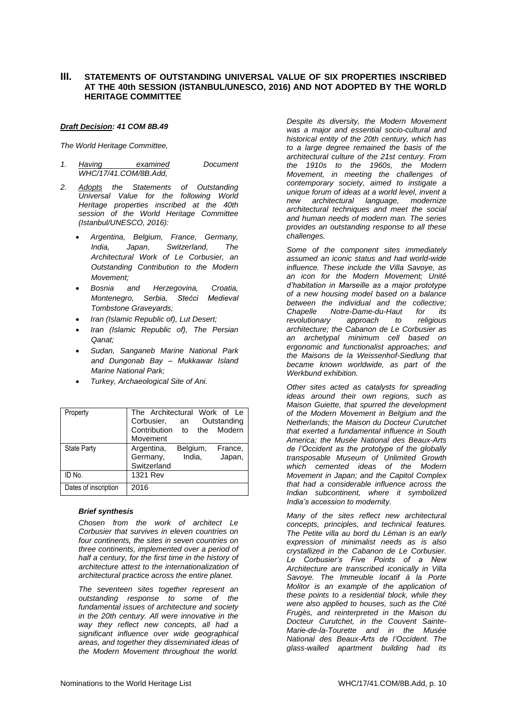#### **III. STATEMENTS OF OUTSTANDING UNIVERSAL VALUE OF SIX PROPERTIES INSCRIBED AT THE 40th SESSION (ISTANBUL/UNESCO, 2016) AND NOT ADOPTED BY THE WORLD HERITAGE COMMITTEE**

#### *Draft Decision: 41 COM 8B.49*

*The World Heritage Committee,*

- *1. Having examined Document WHC/17/41.COM/8B.Add,*
- *2. Adopts the Statements of Outstanding Universal Value for the following World Heritage properties inscribed at the 40th session of the World Heritage Committee (Istanbul/UNESCO, 2016):*
	- *Argentina, Belgium, France, Germany, India, Japan, Switzerland, The Architectural Work of Le Corbusier, an Outstanding Contribution to the Modern Movement;*
	- *Bosnia and Herzegovina, Croatia, Montenegro, Serbia, Stećci Medieval Tombstone Graveyards;*
	- *Iran (Islamic Republic of), Lut Desert;*
	- *Iran (Islamic Republic of), The Persian Qanat;*
	- *Sudan, Sanganeb Marine National Park and Dungonab Bay – Mukkawar Island Marine National Park;*
	- *Turkey, Archaeological Site of Ani.*

| Property             | The Architectural Work of Le |           |             |
|----------------------|------------------------------|-----------|-------------|
|                      | Corbusier,<br>an             |           | Outstanding |
|                      | Contribution                 | the<br>to | Modern      |
|                      | Movement                     |           |             |
| <b>State Party</b>   | Argentina,                   | Belgium,  | France,     |
|                      | Germany,                     | India,    | Japan,      |
|                      | Switzerland                  |           |             |
| ID No.               | 1321 Rev                     |           |             |
| Dates of inscription | 2016                         |           |             |

#### *Brief synthesis*

*Chosen from the work of architect Le Corbusier that survives in eleven countries on four continents, the sites in seven countries on three continents, implemented over a period of half a century, for the first time in the history of architecture attest to the internationalization of architectural practice across the entire planet.* 

*The seventeen sites together represent an outstanding response to some of the fundamental issues of architecture and society in the 20th century. All were innovative in the way they reflect new concepts, all had a significant influence over wide geographical areas, and together they disseminated ideas of the Modern Movement throughout the world.* 

*Despite its diversity, the Modern Movement was a major and essential socio-cultural and historical entity of the 20th century, which has to a large degree remained the basis of the architectural culture of the 21st century. From the 1910s to the 1960s, the Modern Movement, in meeting the challenges of contemporary society, aimed to instigate a unique forum of ideas at a world level, invent a new architectural language, modernize architectural techniques and meet the social and human needs of modern man. The series provides an outstanding response to all these challenges.*

*Some of the component sites immediately assumed an iconic status and had world-wide influence. These include the Villa Savoye, as an icon for the Modern Movement; Unité d'habitation in Marseille as a major prototype of a new housing model based on a balance between the individual and the collective; Chapelle Notre-Dame-du-Haut for its revolutionary approach to religious architecture; the Cabanon de Le Corbusier as an archetypal minimum cell based on ergonomic and functionalist approaches; and the Maisons de la Weissenhof-Siedlung that became known worldwide, as part of the Werkbund exhibition.*

*Other sites acted as catalysts for spreading ideas around their own regions, such as Maison Guiette, that spurred the development of the Modern Movement in Belgium and the Netherlands; the Maison du Docteur Curutchet that exerted a fundamental influence in South America; the Musée National des Beaux-Arts de l'Occident as the prototype of the globally transposable Museum of Unlimited Growth which cemented ideas of the Modern Movement in Japan; and the Capitol Complex that had a considerable influence across the Indian subcontinent, where it symbolized India's accession to modernity.*

*Many of the sites reflect new architectural concepts, principles, and technical features. The Petite villa au bord du Léman is an early expression of minimalist needs as is also crystallized in the Cabanon de Le Corbusier. Le Corbusier's Five Points of a New Architecture are transcribed iconically in Villa Savoye. The Immeuble locatif à la Porte Molitor is an example of the application of these points to a residential block, while they were also applied to houses, such as the Cité Frugès, and reinterpreted in the Maison du Docteur Curutchet, in the Couvent Sainte-Marie-de-la-Tourette and in the Musée National des Beaux-Arts de l'Occident. The glass-walled apartment building had its*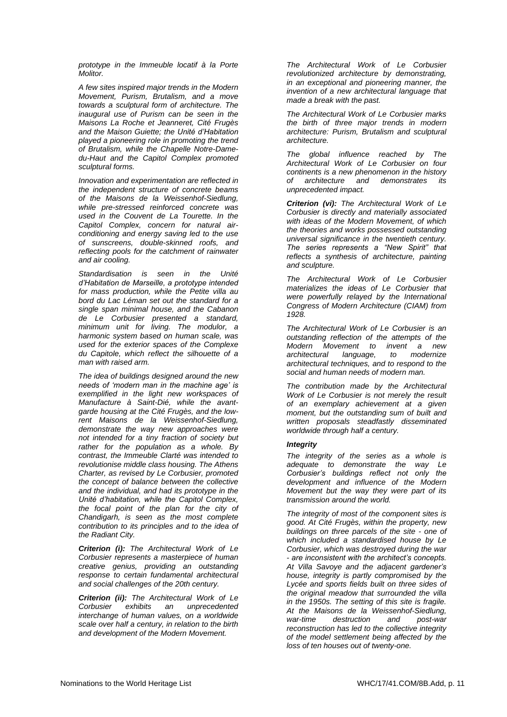*prototype in the Immeuble locatif à la Porte Molitor.*

*A few sites inspired major trends in the Modern Movement, Purism, Brutalism, and a move towards a sculptural form of architecture. The inaugural use of Purism can be seen in the Maisons La Roche et Jeanneret, Cité Frugès and the Maison Guiette; the Unité d'Habitation played a pioneering role in promoting the trend of Brutalism, while the Chapelle Notre-Damedu-Haut and the Capitol Complex promoted sculptural forms.*

*Innovation and experimentation are reflected in the independent structure of concrete beams of the Maisons de la Weissenhof-Siedlung, while pre-stressed reinforced concrete was used in the Couvent de La Tourette. In the Capitol Complex, concern for natural airconditioning and energy saving led to the use of sunscreens, double-skinned roofs, and reflecting pools for the catchment of rainwater and air cooling.*

*Standardisation is seen in the Unité d'Habitation de Marseille, a prototype intended for mass production, while the Petite villa au bord du Lac Léman set out the standard for a single span minimal house, and the Cabanon de Le Corbusier presented a standard, minimum unit for living. The modulor, a harmonic system based on human scale, was used for the exterior spaces of the Complexe du Capitole, which reflect the silhouette of a man with raised arm.*

*The idea of buildings designed around the new needs of 'modern man in the machine age' is exemplified in the light new workspaces of Manufacture à Saint-Dié, while the avantgarde housing at the Cité Frugès, and the lowrent Maisons de la Weissenhof-Siedlung, demonstrate the way new approaches were not intended for a tiny fraction of society but rather for the population as a whole. By contrast, the Immeuble Clarté was intended to revolutionise middle class housing. The Athens Charter, as revised by Le Corbusier, promoted the concept of balance between the collective and the individual, and had its prototype in the Unité d'habitation, while the Capitol Complex, the focal point of the plan for the city of Chandigarh, is seen as the most complete contribution to its principles and to the idea of the Radiant City.*

*Criterion (i): The Architectural Work of Le Corbusier represents a masterpiece of human creative genius, providing an outstanding response to certain fundamental architectural and social challenges of the 20th century.*

*Criterion (ii): The Architectural Work of Le Corbusier exhibits an unprecedented interchange of human values, on a worldwide scale over half a century, in relation to the birth and development of the Modern Movement.* 

*The Architectural Work of Le Corbusier revolutionized architecture by demonstrating, in an exceptional and pioneering manner, the invention of a new architectural language that made a break with the past.* 

*The Architectural Work of Le Corbusier marks the birth of three major trends in modern architecture: Purism, Brutalism and sculptural architecture.* 

*The global influence reached by The Architectural Work of Le Corbusier on four continents is a new phenomenon in the history of architecture and demonstrates its unprecedented impact.*

*Criterion (vi): The Architectural Work of Le Corbusier is directly and materially associated with ideas of the Modern Movement, of which the theories and works possessed outstanding universal significance in the twentieth century. The series represents a "New Spirit" that reflects a synthesis of architecture, painting and sculpture.* 

*The Architectural Work of Le Corbusier materializes the ideas of Le Corbusier that were powerfully relayed by the International Congress of Modern Architecture (CIAM) from 1928.*

*The Architectural Work of Le Corbusier is an outstanding reflection of the attempts of the Modern Movement to invent a new architectural language, to modernize architectural techniques, and to respond to the social and human needs of modern man.*

*The contribution made by the Architectural Work of Le Corbusier is not merely the result of an exemplary achievement at a given moment, but the outstanding sum of built and written proposals steadfastly disseminated worldwide through half a century.*

#### *Integrity*

*The integrity of the series as a whole is adequate to demonstrate the way Le Corbusier's buildings reflect not only the development and influence of the Modern Movement but the way they were part of its transmission around the world.* 

*The integrity of most of the component sites is good. At Cité Frugès, within the property, new buildings on three parcels of the site - one of which included a standardised house by Le Corbusier, which was destroyed during the war - are inconsistent with the architect's concepts. At Villa Savoye and the adjacent gardener's house, integrity is partly compromised by the Lycée and sports fields built on three sides of the original meadow that surrounded the villa in the 1950s. The setting of this site is fragile. At the Maisons de la Weissenhof-Siedlung, war-time destruction and post-war reconstruction has led to the collective integrity of the model settlement being affected by the loss of ten houses out of twenty-one.*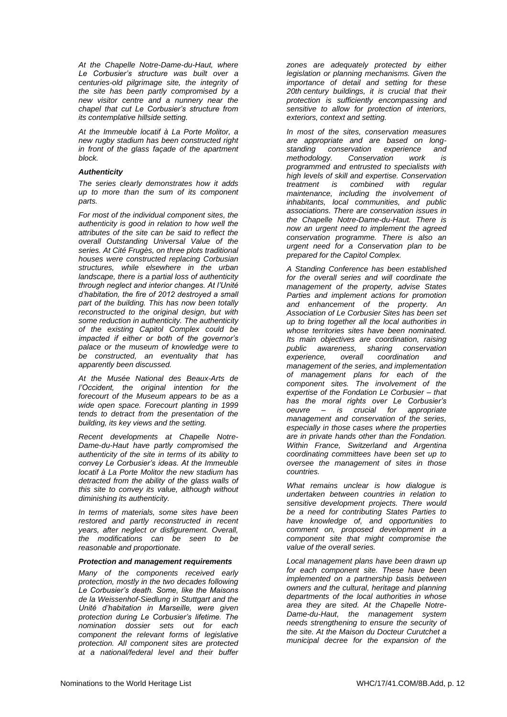*At the Chapelle Notre-Dame-du-Haut, where Le Corbusier's structure was built over a centuries-old pilgrimage site, the integrity of the site has been partly compromised by a new visitor centre and a nunnery near the chapel that cut Le Corbusier's structure from its contemplative hillside setting.* 

*At the Immeuble locatif à La Porte Molitor, a new rugby stadium has been constructed right in front of the glass façade of the apartment block.* 

#### *Authenticity*

*The series clearly demonstrates how it adds up to more than the sum of its component parts.*

*For most of the individual component sites, the authenticity is good in relation to how well the attributes of the site can be said to reflect the overall Outstanding Universal Value of the series. At Cité Frugès, on three plots traditional houses were constructed replacing Corbusian structures, while elsewhere in the urban landscape, there is a partial loss of authenticity through neglect and interior changes. At l'Unité d'habitation, the fire of 2012 destroyed a small part of the building. This has now been totally reconstructed to the original design, but with some reduction in authenticity. The authenticity of the existing Capitol Complex could be impacted if either or both of the governor's palace or the museum of knowledge were to be constructed, an eventuality that has apparently been discussed.* 

*At the Musée National des Beaux-Arts de l'Occident, the original intention for the forecourt of the Museum appears to be as a wide open space. Forecourt planting in 1999 tends to detract from the presentation of the building, its key views and the setting.* 

*Recent developments at Chapelle Notre-Dame-du-Haut have partly compromised the authenticity of the site in terms of its ability to convey Le Corbusier's ideas. At the Immeuble locatif à La Porte Molitor the new stadium has detracted from the ability of the glass walls of this site to convey its value, although without diminishing its authenticity.*

*In terms of materials, some sites have been restored and partly reconstructed in recent years, after neglect or disfigurement. Overall, the modifications can be seen to be reasonable and proportionate.*

#### *Protection and management requirements*

*Many of the components received early protection, mostly in the two decades following Le Corbusier's death. Some, like the Maisons de la Weissenhof-Siedlung in Stuttgart and the Unité d'habitation in Marseille, were given protection during Le Corbusier's lifetime. The nomination dossier sets out for each component the relevant forms of legislative protection. All component sites are protected at a national/federal level and their buffer*  *zones are adequately protected by either legislation or planning mechanisms. Given the importance of detail and setting for these 20th century buildings, it is crucial that their protection is sufficiently encompassing and sensitive to allow for protection of interiors, exteriors, context and setting.* 

*In most of the sites, conservation measures are appropriate and are based on longstanding conservation experience and methodology. Conservation work is programmed and entrusted to specialists with high levels of skill and expertise. Conservation treatment is combined with regular maintenance, including the involvement of inhabitants, local communities, and public associations. There are conservation issues in the Chapelle Notre-Dame-du-Haut. There is now an urgent need to implement the agreed conservation programme. There is also an urgent need for a Conservation plan to be prepared for the Capitol Complex.* 

*A Standing Conference has been established for the overall series and will coordinate the management of the property, advise States Parties and implement actions for promotion and enhancement of the property. An Association of Le Corbusier Sites has been set up to bring together all the local authorities in whose territories sites have been nominated. Its main objectives are coordination, raising public awareness, sharing conservation experience, overall coordination and management of the series, and implementation of management plans for each of the component sites. The involvement of the expertise of the Fondation Le Corbusier – that has the moral rights over Le Corbusier's oeuvre – is crucial for appropriate management and conservation of the series, especially in those cases where the properties are in private hands other than the Fondation. Within France, Switzerland and Argentina coordinating committees have been set up to oversee the management of sites in those countries.* 

*What remains unclear is how dialogue is undertaken between countries in relation to sensitive development projects. There would be a need for contributing States Parties to have knowledge of, and opportunities to comment on, proposed development in a component site that might compromise the value of the overall series.* 

*Local management plans have been drawn up for each component site. These have been implemented on a partnership basis between owners and the cultural, heritage and planning departments of the local authorities in whose area they are sited. At the Chapelle Notre-Dame-du-Haut, the management system needs strengthening to ensure the security of the site. At the Maison du Docteur Curutchet a municipal decree for the expansion of the*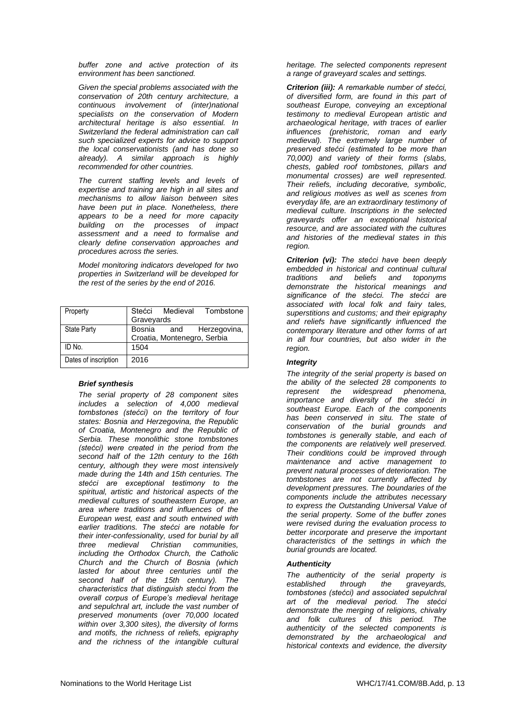*buffer zone and active protection of its environment has been sanctioned.*

*Given the special problems associated with the conservation of 20th century architecture, a continuous involvement of (inter)national specialists on the conservation of Modern architectural heritage is also essential. In Switzerland the federal administration can call such specialized experts for advice to support the local conservationists (and has done so already). A similar approach is highly recommended for other countries.* 

*The current staffing levels and levels of expertise and training are high in all sites and mechanisms to allow liaison between sites have been put in place. Nonetheless, there appears to be a need for more capacity building on the processes of impact assessment and a need to formalise and clearly define conservation approaches and procedures across the series.*

*Model monitoring indicators developed for two properties in Switzerland will be developed for the rest of the series by the end of 2016.*

| Property             |                             |            | Stećci Medieval Tombstone |
|----------------------|-----------------------------|------------|---------------------------|
|                      | Graveyards                  |            |                           |
| <b>State Party</b>   |                             | Bosnia and | Herzegovina,              |
|                      | Croatia, Montenegro, Serbia |            |                           |
| ID No.               | 1504                        |            |                           |
| Dates of inscription | 2016                        |            |                           |

#### *Brief synthesis*

*The serial property of 28 component sites includes a selection of 4,000 medieval tombstones (stećci) on the territory of four states: Bosnia and Herzegovina, the Republic of Croatia, Montenegro and the Republic of Serbia. These monolithic stone tombstones (stećci) were created in the period from the second half of the 12th century to the 16th century, although they were most intensively made during the 14th and 15th centuries. The stećci are exceptional testimony to the spiritual, artistic and historical aspects of the medieval cultures of southeastern Europe, an area where traditions and influences of the European west, east and south entwined with earlier traditions. The stećci are notable for their inter-confessionality, used for burial by all three medieval Christian communities, including the Orthodox Church, the Catholic Church and the Church of Bosnia (which lasted for about three centuries until the second half of the 15th century). The characteristics that distinguish stećci from the overall corpus of Europe's medieval heritage and sepulchral art, include the vast number of preserved monuments (over 70,000 located within over 3,300 sites), the diversity of forms and motifs, the richness of reliefs, epigraphy and the richness of the intangible cultural* 

*heritage. The selected components represent a range of graveyard scales and settings.*

*Criterion (iii): A remarkable number of stećci, of diversified form, are found in this part of southeast Europe, conveying an exceptional testimony to medieval European artistic and archaeological heritage, with traces of earlier influences (prehistoric, roman and early medieval). The extremely large number of preserved stećci (estimated to be more than 70,000) and variety of their forms (slabs, chests, gabled roof tombstones, pillars and monumental crosses) are well represented. Their reliefs, including decorative, symbolic, and religious motives as well as scenes from everyday life, are an extraordinary testimony of medieval culture. Inscriptions in the selected graveyards offer an exceptional historical resource, and are associated with the cultures and histories of the medieval states in this region.* 

*Criterion (vi): The stećci have been deeply embedded in historical and continual cultural traditions and beliefs and toponyms demonstrate the historical meanings and significance of the stećci. The stećci are associated with local folk and fairy tales, superstitions and customs; and their epigraphy and reliefs have significantly influenced the contemporary literature and other forms of art in all four countries, but also wider in the region.* 

#### *Integrity*

*The integrity of the serial property is based on the ability of the selected 28 components to represent the widespread phenomena, importance and diversity of the stećci in southeast Europe. Each of the components has been conserved in situ. The state of conservation of the burial grounds and tombstones is generally stable, and each of the components are relatively well preserved. Their conditions could be improved through maintenance and active management to prevent natural processes of deterioration. The tombstones are not currently affected by development pressures. The boundaries of the components include the attributes necessary to express the Outstanding Universal Value of the serial property. Some of the buffer zones were revised during the evaluation process to better incorporate and preserve the important characteristics of the settings in which the burial grounds are located.*

#### *Authenticity*

*The authenticity of the serial property is established through the graveyards, tombstones (stećci) and associated sepulchral art of the medieval period. The stećci demonstrate the merging of religions, chivalry and folk cultures of this period. The authenticity of the selected components is demonstrated by the archaeological and historical contexts and evidence, the diversity*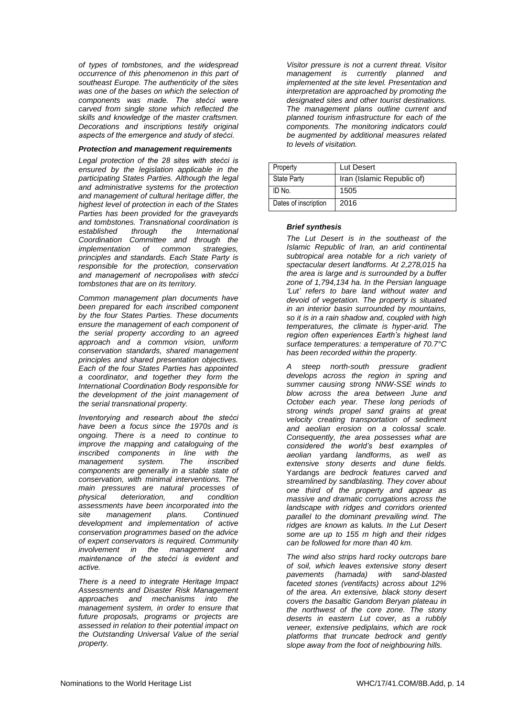*of types of tombstones, and the widespread occurrence of this phenomenon in this part of southeast Europe. The authenticity of the sites was one of the bases on which the selection of components was made. The stećci were carved from single stone which reflected the skills and knowledge of the master craftsmen. Decorations and inscriptions testify original aspects of the emergence and study of stećci.*

#### *Protection and management requirements*

*Legal protection of the 28 sites with stećci is ensured by the legislation applicable in the participating States Parties. Although the legal and administrative systems for the protection and management of cultural heritage differ, the highest level of protection in each of the States Parties has been provided for the graveyards and tombstones. Transnational coordination is established through the International Coordination Committee and through the implementation of common strategies, principles and standards. Each State Party is responsible for the protection, conservation and management of necropolises with stećci tombstones that are on its territory.* 

*Common management plan documents have been prepared for each inscribed component by the four States Parties. These documents ensure the management of each component of the serial property according to an agreed approach and a common vision, uniform conservation standards, shared management principles and shared presentation objectives. Each of the four States Parties has appointed a coordinator, and together they form the International Coordination Body responsible for the development of the joint management of the serial transnational property.* 

*Inventorying and research about the stećci have been a focus since the 1970s and is ongoing. There is a need to continue to improve the mapping and cataloguing of the inscribed components in line with the management system. The inscribed components are generally in a stable state of conservation, with minimal interventions. The main pressures are natural processes of physical deterioration, and condition assessments have been incorporated into the site management plans. Continued development and implementation of active conservation programmes based on the advice of expert conservators is required. Community involvement in the management and maintenance of the stećci is evident and active.*

*There is a need to integrate Heritage Impact Assessments and Disaster Risk Management approaches and mechanisms into the management system, in order to ensure that future proposals, programs or projects are assessed in relation to their potential impact on the Outstanding Universal Value of the serial property.* 

*Visitor pressure is not a current threat. Visitor management is currently planned and implemented at the site level. Presentation and interpretation are approached by promoting the designated sites and other tourist destinations. The management plans outline current and planned tourism infrastructure for each of the components. The monitoring indicators could be augmented by additional measures related to levels of visitation.*

| Property             | Lut Desert                 |
|----------------------|----------------------------|
| <b>State Party</b>   | Iran (Islamic Republic of) |
| ID No.               | 1505                       |
| Dates of inscription | 2016                       |

#### *Brief synthesis*

*The Lut Desert is in the southeast of the Islamic Republic of Iran, an arid continental subtropical area notable for a rich variety of spectacular desert landforms. At 2,278,015 ha the area is large and is surrounded by a buffer zone of 1,794,134 ha. In the Persian language 'Lut' refers to bare land without water and devoid of vegetation. The property is situated in an interior basin surrounded by mountains, so it is in a rain shadow and, coupled with high temperatures, the climate is hyper-arid. The region often experiences Earth's highest land surface temperatures: a temperature of 70.7°C has been recorded within the property.* 

*A steep north-south pressure gradient develops across the region in spring and summer causing strong NNW-SSE winds to blow across the area between June and October each year. These long periods of strong winds propel sand grains at great velocity creating transportation of sediment and aeolian erosion on a colossal scale. Consequently, the area possesses what are considered the world's best examples of aeolian* yardang *landforms, as well as extensive stony deserts and dune fields.*  Yardangs *are bedrock features carved and streamlined by sandblasting. They cover about one third of the property and appear as massive and dramatic corrugations across the landscape with ridges and corridors oriented parallel to the dominant prevailing wind. The ridges are known as* kaluts*. In the Lut Desert some are up to 155 m high and their ridges can be followed for more than 40 km.* 

*The wind also strips hard rocky outcrops bare of soil, which leaves extensive stony desert pavements (hamada) with sand-blasted faceted stones (ventifacts) across about 12% of the area. An extensive, black stony desert covers the basaltic Gandom Beryan plateau in the northwest of the core zone. The stony deserts in eastern Lut cover, as a rubbly veneer, extensive pediplains, which are rock platforms that truncate bedrock and gently slope away from the foot of neighbouring hills.*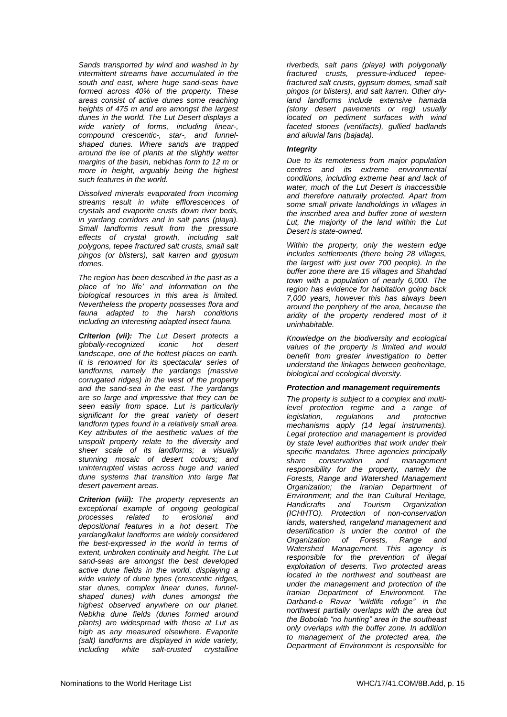*Sands transported by wind and washed in by intermittent streams have accumulated in the south and east, where huge sand-seas have formed across 40% of the property. These areas consist of active dunes some reaching heights of 475 m and are amongst the largest dunes in the world. The Lut Desert displays a wide variety of forms, including linear-, compound crescentic-, star-, and funnelshaped dunes. Where sands are trapped around the lee of plants at the slightly wetter margins of the basin,* nebkhas *form to 12 m or more in height, arguably being the highest such features in the world.* 

*Dissolved minerals evaporated from incoming streams result in white efflorescences of crystals and evaporite crusts down river beds, in yardang corridors and in salt pans (playa). Small landforms result from the pressure effects of crystal growth, including salt polygons, tepee fractured salt crusts, small salt pingos (or blisters), salt karren and gypsum domes.* 

*The region has been described in the past as a place of 'no life' and information on the biological resources in this area is limited. Nevertheless the property possesses flora and fauna adapted to the harsh conditions including an interesting adapted insect fauna.* 

*Criterion (vii): The Lut Desert protects a globally-recognized iconic hot desert landscape, one of the hottest places on earth. It is renowned for its spectacular series of landforms, namely the yardangs (massive corrugated ridges) in the west of the property and the sand-sea in the east. The yardangs are so large and impressive that they can be seen easily from space. Lut is particularly significant for the great variety of desert landform types found in a relatively small area. Key attributes of the aesthetic values of the unspoilt property relate to the diversity and sheer scale of its landforms; a visually stunning mosaic of desert colours; and uninterrupted vistas across huge and varied dune systems that transition into large flat desert pavement areas.* 

*Criterion (viii): The property represents an exceptional example of ongoing geological processes related to erosional and depositional features in a hot desert. The yardang/kalut landforms are widely considered the best-expressed in the world in terms of extent, unbroken continuity and height. The Lut sand-seas are amongst the best developed active dune fields in the world, displaying a wide variety of dune types (crescentic ridges, star dunes, complex linear dunes, funnelshaped dunes) with dunes amongst the highest observed anywhere on our planet. Nebkha dune fields (dunes formed around plants) are widespread with those at Lut as high as any measured elsewhere. Evaporite (salt) landforms are displayed in wide variety, including white salt-crusted crystalline* 

*riverbeds, salt pans (playa) with polygonally fractured crusts, pressure-induced tepeefractured salt crusts, gypsum domes, small salt pingos (or blisters), and salt karren. Other dryland landforms include extensive hamada (stony desert pavements or reg) usually located on pediment surfaces with wind faceted stones (ventifacts), gullied badlands and alluvial fans (bajada).* 

#### *Integrity*

*Due to its remoteness from major population centres and its extreme environmental conditions, including extreme heat and lack of water, much of the Lut Desert is inaccessible and therefore naturally protected. Apart from some small private landholdings in villages in the inscribed area and buffer zone of western Lut, the majority of the land within the Lut Desert is state-owned.* 

*Within the property, only the western edge includes settlements (there being 28 villages, the largest with just over 700 people). In the buffer zone there are 15 villages and Shahdad town with a population of nearly 6,000. The region has evidence for habitation going back 7,000 years, however this has always been around the periphery of the area, because the aridity of the property rendered most of it uninhabitable.* 

*Knowledge on the biodiversity and ecological values of the property is limited and would benefit from greater investigation to better understand the linkages between geoheritage, biological and ecological diversity.*

#### *Protection and management requirements*

*The property is subject to a complex and multilevel protection regime and a range of legislation, regulations and mechanisms apply (14 legal instruments). Legal protection and management is provided by state level authorities that work under their specific mandates. Three agencies principally share conservation and management responsibility for the property, namely the Forests, Range and Watershed Management Organization; the Iranian Department of Environment; and the Iran Cultural Heritage, Handicrafts and Tourism Organization (ICHHTO). Protection of non-conservation lands, watershed, rangeland management and desertification is under the control of the Organization of Forests, Range and Watershed Management. This agency is responsible for the prevention of illegal exploitation of deserts. Two protected areas located in the northwest and southeast are under the management and protection of the Iranian Department of Environment. The Darband-e Ravar "wildlife refuge" in the northwest partially overlaps with the area but the Bobolab "no hunting" area in the southeast only overlaps with the buffer zone. In addition to management of the protected area, the Department of Environment is responsible for*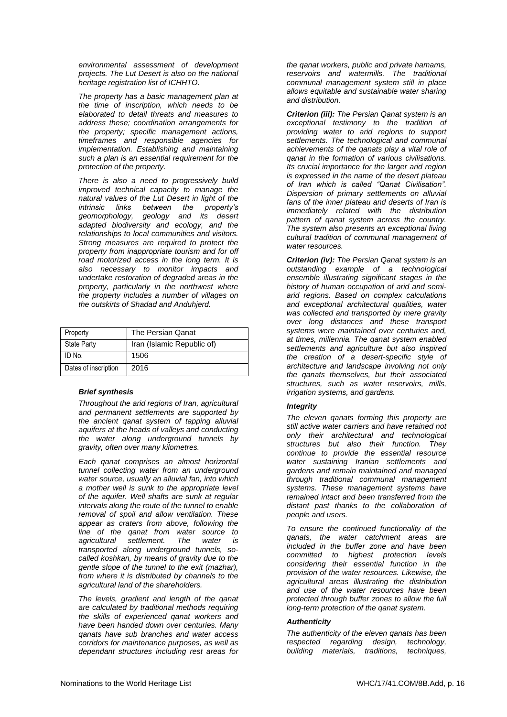*environmental assessment of development projects. The Lut Desert is also on the national heritage registration list of ICHHTO.* 

*The property has a basic management plan at the time of inscription, which needs to be elaborated to detail threats and measures to address these; coordination arrangements for the property; specific management actions, timeframes and responsible agencies for implementation. Establishing and maintaining such a plan is an essential requirement for the protection of the property.*

*There is also a need to progressively build improved technical capacity to manage the natural values of the Lut Desert in light of the intrinsic links between the property's geomorphology, geology and its desert adapted biodiversity and ecology, and the relationships to local communities and visitors. Strong measures are required to protect the property from inappropriate tourism and for off road motorized access in the long term. It is also necessary to monitor impacts and undertake restoration of degraded areas in the property, particularly in the northwest where the property includes a number of villages on the outskirts of Shadad and Anduhjerd.*

| Property             | The Persian Qanat          |
|----------------------|----------------------------|
| <b>State Party</b>   | Iran (Islamic Republic of) |
| ID No.               | 1506                       |
| Dates of inscription | 2016                       |

#### *Brief synthesis*

*Throughout the arid regions of Iran, agricultural and permanent settlements are supported by the ancient qanat system of tapping alluvial aquifers at the heads of valleys and conducting the water along underground tunnels by gravity, often over many kilometres.* 

*Each qanat comprises an almost horizontal tunnel collecting water from an underground water source, usually an alluvial fan, into which a mother well is sunk to the appropriate level of the aquifer. Well shafts are sunk at regular intervals along the route of the tunnel to enable removal of spoil and allow ventilation. These appear as craters from above, following the line of the qanat from water source to agricultural settlement. The water is transported along underground tunnels, socalled koshkan, by means of gravity due to the gentle slope of the tunnel to the exit (mazhar), from where it is distributed by channels to the agricultural land of the shareholders.* 

*The levels, gradient and length of the qanat are calculated by traditional methods requiring the skills of experienced qanat workers and have been handed down over centuries. Many qanats have sub branches and water access corridors for maintenance purposes, as well as dependant structures including rest areas for* 

*the qanat workers, public and private hamams, reservoirs and watermills. The traditional communal management system still in place allows equitable and sustainable water sharing and distribution.*

*Criterion (iii): The Persian Qanat system is an exceptional testimony to the tradition of providing water to arid regions to support settlements. The technological and communal achievements of the qanats play a vital role of qanat in the formation of various civilisations. Its crucial importance for the larger arid region is expressed in the name of the desert plateau of Iran which is called "Qanat Civilisation". Dispersion of primary settlements on alluvial fans of the inner plateau and deserts of Iran is immediately related with the distribution pattern of qanat system across the country. The system also presents an exceptional living cultural tradition of communal management of water resources.*

*Criterion (iv): The Persian Qanat system is an outstanding example of a technological ensemble illustrating significant stages in the history of human occupation of arid and semiarid regions. Based on complex calculations and exceptional architectural qualities, water was collected and transported by mere gravity over long distances and these transport systems were maintained over centuries and, at times, millennia. The qanat system enabled settlements and agriculture but also inspired the creation of a desert-specific style of architecture and landscape involving not only the qanats themselves, but their associated structures, such as water reservoirs, mills, irrigation systems, and gardens.*

#### *Integrity*

*The eleven qanats forming this property are still active water carriers and have retained not only their architectural and technological structures but also their function. They continue to provide the essential resource water sustaining Iranian settlements and gardens and remain maintained and managed through traditional communal management systems. These management systems have remained intact and been transferred from the distant past thanks to the collaboration of people and users.* 

*To ensure the continued functionality of the qanats, the water catchment areas are included in the buffer zone and have been committed to highest protection levels considering their essential function in the provision of the water resources. Likewise, the agricultural areas illustrating the distribution and use of the water resources have been protected through buffer zones to allow the full long-term protection of the qanat system.*

#### *Authenticity*

*The authenticity of the eleven qanats has been respected regarding design, technology, building materials, traditions, techniques,*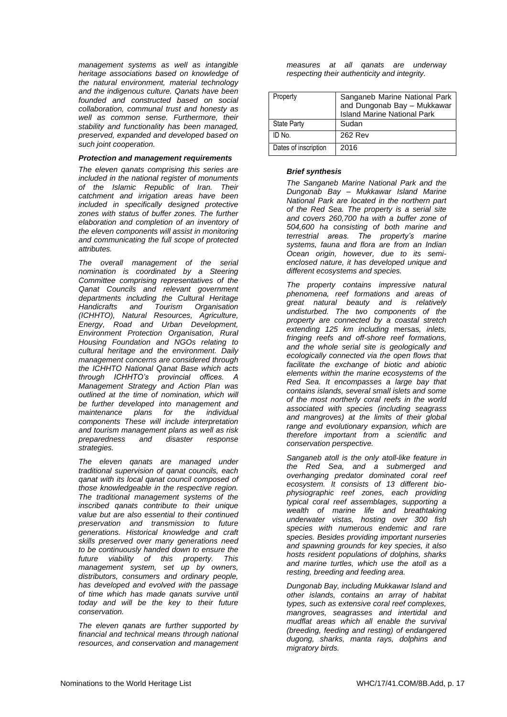*management systems as well as intangible heritage associations based on knowledge of the natural environment, material technology and the indigenous culture. Qanats have been founded and constructed based on social collaboration, communal trust and honesty as well as common sense. Furthermore, their stability and functionality has been managed, preserved, expanded and developed based on such joint cooperation.*

#### *Protection and management requirements*

*The eleven qanats comprising this series are included in the national register of monuments of the Islamic Republic of Iran. Their catchment and irrigation areas have been included in specifically designed protective zones with status of buffer zones. The further elaboration and completion of an inventory of the eleven components will assist in monitoring and communicating the full scope of protected attributes.*

*The overall management of the serial nomination is coordinated by a Steering Committee comprising representatives of the Qanat Councils and relevant government departments including the Cultural Heritage Handicrafts and Tourism Organisation (ICHHTO), Natural Resources, Agriculture, Energy, Road and Urban Development, Environment Protection Organisation, Rural Housing Foundation and NGOs relating to cultural heritage and the environment. Daily management concerns are considered through the ICHHTO National Qanat Base which acts through ICHHTO's provincial offices. A Management Strategy and Action Plan was outlined at the time of nomination, which will be further developed into management and maintenance plans for the individual components These will include interpretation and tourism management plans as well as risk preparedness and disaster response strategies.* 

*The eleven qanats are managed under traditional supervision of qanat councils, each qanat with its local qanat council composed of those knowledgeable in the respective region. The traditional management systems of the inscribed qanats contribute to their unique value but are also essential to their continued preservation and transmission to future generations. Historical knowledge and craft skills preserved over many generations need to be continuously handed down to ensure the future viability of this property. This management system, set up by owners, distributors, consumers and ordinary people, has developed and evolved with the passage of time which has made qanats survive until today and will be the key to their future conservation.* 

*The eleven qanats are further supported by financial and technical means through national resources, and conservation and management*  *measures at all qanats are underway respecting their authenticity and integrity.*

| Property             | Sanganeb Marine National Park<br>and Dungonab Bay - Mukkawar<br><b>Island Marine National Park</b> |
|----------------------|----------------------------------------------------------------------------------------------------|
| <b>State Party</b>   | Sudan                                                                                              |
| ID No.               | 262 Rev                                                                                            |
| Dates of inscription | 2016                                                                                               |

#### *Brief synthesis*

*The Sanganeb Marine National Park and the Dungonab Bay – Mukkawar Island Marine National Park are located in the northern part of the Red Sea. The property is a serial site and covers 260,700 ha with a buffer zone of 504,600 ha consisting of both marine and terrestrial areas. The property's marine systems, fauna and flora are from an Indian Ocean origin, however, due to its semienclosed nature, it has developed unique and different ecosystems and species.* 

*The property contains impressive natural phenomena, reef formations and areas of great natural beauty and is relatively undisturbed. The two components of the property are connected by a coastal stretch extending 125 km including* mersas*, inlets, fringing reefs and off-shore reef formations, and the whole serial site is geologically and ecologically connected via the open flows that facilitate the exchange of biotic and abiotic elements within the marine ecosystems of the Red Sea. It encompasses a large bay that contains islands, several small islets and some of the most northerly coral reefs in the world associated with species (including seagrass and mangroves) at the limits of their global range and evolutionary expansion, which are therefore important from a scientific and conservation perspective.* 

*Sanganeb atoll is the only atoll-like feature in the Red Sea, and a submerged and overhanging predator dominated coral reef ecosystem. It consists of 13 different biophysiographic reef zones, each providing typical coral reef assemblages, supporting a wealth of marine life and breathtaking underwater vistas, hosting over 300 fish species with numerous endemic and rare species. Besides providing important nurseries and spawning grounds for key species, it also hosts resident populations of dolphins, sharks and marine turtles, which use the atoll as a resting, breeding and feeding area.*

*Dungonab Bay, including Mukkawar Island and other islands, contains an array of habitat types, such as extensive coral reef complexes, mangroves, seagrasses and intertidal and mudflat areas which all enable the survival (breeding, feeding and resting) of endangered dugong, sharks, manta rays, dolphins and migratory birds.*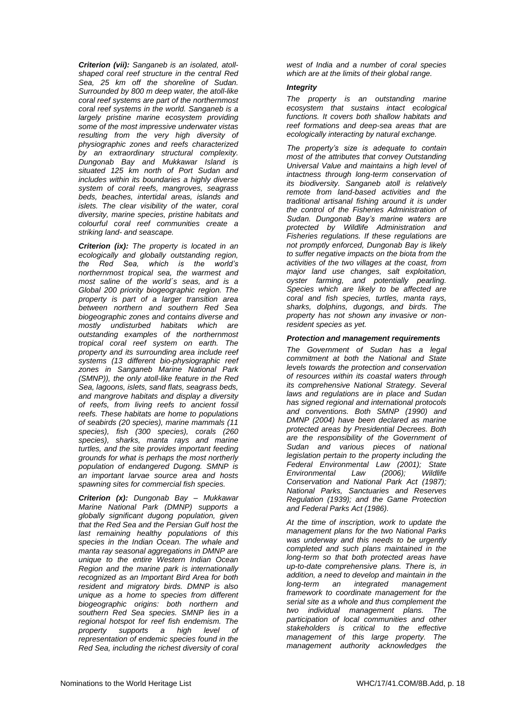*Criterion (vii): Sanganeb is an isolated, atollshaped coral reef structure in the central Red Sea, 25 km off the shoreline of Sudan. Surrounded by 800 m deep water, the atoll-like coral reef systems are part of the northernmost coral reef systems in the world. Sanganeb is a largely pristine marine ecosystem providing some of the most impressive underwater vistas resulting from the very high diversity of physiographic zones and reefs characterized by an extraordinary structural complexity. Dungonab Bay and Mukkawar Island is situated 125 km north of Port Sudan and includes within its boundaries a highly diverse system of coral reefs, mangroves, seagrass beds, beaches, intertidal areas, islands and islets. The clear visibility of the water, coral diversity, marine species, pristine habitats and colourful coral reef communities create a striking land- and seascape.* 

*Criterion (ix): The property is located in an ecologically and globally outstanding region, the Red Sea, which is the world's northernmost tropical sea, the warmest and most saline of the world´s seas, and is a Global 200 priority biogeographic region. The property is part of a larger transition area between northern and southern Red Sea biogeographic zones and contains diverse and mostly undisturbed habitats which are outstanding examples of the northernmost tropical coral reef system on earth. The property and its surrounding area include reef systems (13 different bio-physiographic reef zones in Sanganeb Marine National Park (SMNP)), the only atoll-like feature in the Red Sea, lagoons, islets, sand flats, seagrass beds, and mangrove habitats and display a diversity of reefs, from living reefs to ancient fossil reefs. These habitats are home to populations of seabirds (20 species), marine mammals (11 species), fish (300 species), corals (260 species), sharks, manta rays and marine turtles, and the site provides important feeding grounds for what is perhaps the most northerly population of endangered Dugong. SMNP is an important larvae source area and hosts spawning sites for commercial fish species.*

*Criterion (x): Dungonab Bay – Mukkawar Marine National Park (DMNP) supports a globally significant dugong population, given that the Red Sea and the Persian Gulf host the last remaining healthy populations of this species in the Indian Ocean. The whale and manta ray seasonal aggregations in DMNP are unique to the entire Western Indian Ocean Region and the marine park is internationally recognized as an Important Bird Area for both resident and migratory birds. DMNP is also unique as a home to species from different biogeographic origins: both northern and southern Red Sea species. SMNP lies in a regional hotspot for reef fish endemism. The property supports a high level of representation of endemic species found in the Red Sea, including the richest diversity of coral*  *west of India and a number of coral species which are at the limits of their global range.*

#### *Integrity*

*The property is an outstanding marine ecosystem that sustains intact ecological functions. It covers both shallow habitats and reef formations and deep-sea areas that are ecologically interacting by natural exchange.*

*The property's size is adequate to contain most of the attributes that convey Outstanding Universal Value and maintains a high level of intactness through long-term conservation of its biodiversity. Sanganeb atoll is relatively remote from land-based activities and the traditional artisanal fishing around it is under the control of the Fisheries Administration of Sudan. Dungonab Bay's marine waters are protected by Wildlife Administration and Fisheries regulations. If these regulations are not promptly enforced, Dungonab Bay is likely to suffer negative impacts on the biota from the activities of the two villages at the coast, from major land use changes, salt exploitation, oyster farming, and potentially pearling. Species which are likely to be affected are coral and fish species, turtles, manta rays, sharks, dolphins, dugongs, and birds. The property has not shown any invasive or nonresident species as yet.* 

#### *Protection and management requirements*

*The Government of Sudan has a legal commitment at both the National and State levels towards the protection and conservation of resources within its coastal waters through its comprehensive National Strategy. Several laws and regulations are in place and Sudan has signed regional and international protocols and conventions. Both SMNP (1990) and DMNP (2004) have been declared as marine protected areas by Presidential Decrees. Both are the responsibility of the Government of Sudan and various pieces of national legislation pertain to the property including the Federal Environmental Law (2001); State Environmental Law (2006); Wildlife Conservation and National Park Act (1987); National Parks, Sanctuaries and Reserves Regulation (1939); and the Game Protection and Federal Parks Act (1986).* 

*At the time of inscription, work to update the management plans for the two National Parks was underway and this needs to be urgently completed and such plans maintained in the long-term so that both protected areas have up-to-date comprehensive plans. There is, in addition, a need to develop and maintain in the long-term an integrated management framework to coordinate management for the serial site as a whole and thus complement the two individual management plans. The participation of local communities and other stakeholders is critical to the effective management of this large property. The management authority acknowledges the*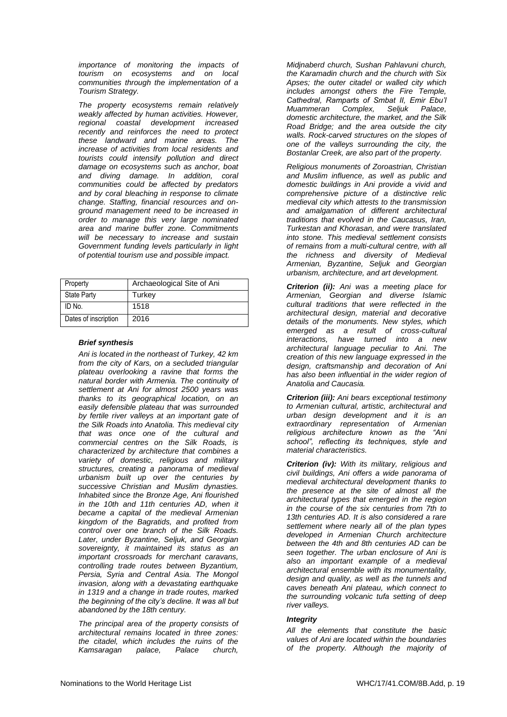*importance of monitoring the impacts of tourism on ecosystems and on local communities through the implementation of a Tourism Strategy.*

*The property ecosystems remain relatively weakly affected by human activities. However, regional coastal development increased recently and reinforces the need to protect these landward and marine areas. The increase of activities from local residents and tourists could intensify pollution and direct damage on ecosystems such as anchor, boat and diving damage. In addition, coral communities could be affected by predators and by coral bleaching in response to climate change. Staffing, financial resources and onground management need to be increased in order to manage this very large nominated area and marine buffer zone. Commitments will be necessary to increase and sustain Government funding levels particularly in light of potential tourism use and possible impact.*

| Property             | Archaeological Site of Ani |
|----------------------|----------------------------|
| <b>State Party</b>   | Turkey                     |
| ID No.               | 1518                       |
| Dates of inscription | 2016                       |

#### *Brief synthesis*

*Ani is located in the northeast of Turkey, 42 km from the city of Kars, on a secluded triangular plateau overlooking a ravine that forms the natural border with Armenia. The continuity of settlement at Ani for almost 2500 years was thanks to its geographical location, on an easily defensible plateau that was surrounded by fertile river valleys at an important gate of the Silk Roads into Anatolia. This medieval city that was once one of the cultural and commercial centres on the Silk Roads, is characterized by architecture that combines a variety of domestic, religious and military structures, creating a panorama of medieval urbanism built up over the centuries by successive Christian and Muslim dynasties. Inhabited since the Bronze Age, Ani flourished in the 10th and 11th centuries AD, when it became a capital of the medieval Armenian kingdom of the Bagratids, and profited from control over one branch of the Silk Roads. Later, under Byzantine, Seljuk, and Georgian sovereignty, it maintained its status as an important crossroads for merchant caravans, controlling trade routes between Byzantium, Persia, Syria and Central Asia. The Mongol invasion, along with a devastating earthquake in 1319 and a change in trade routes, marked the beginning of the city's decline. It was all but abandoned by the 18th century.*

*The principal area of the property consists of architectural remains located in three zones: the citadel, which includes the ruins of the Kamsaragan palace, Palace church,* 

*Midjnaberd church, Sushan Pahlavuni church, the Karamadin church and the church with Six Apses; the outer citadel or walled city which includes amongst others the Fire Temple, Cathedral, Ramparts of Smbat II, Emir Ebu'l Muammeran Complex, Seljuk Palace, domestic architecture, the market, and the Silk Road Bridge; and the area outside the city walls. Rock-carved structures on the slopes of one of the valleys surrounding the city, the Bostanlar Creek, are also part of the property.* 

*Religious monuments of Zoroastrian, Christian and Muslim influence, as well as public and domestic buildings in Ani provide a vivid and comprehensive picture of a distinctive relic medieval city which attests to the transmission and amalgamation of different architectural traditions that evolved in the Caucasus, Iran, Turkestan and Khorasan, and were translated into stone. This medieval settlement consists of remains from a multi-cultural centre, with all the richness and diversity of Medieval Armenian, Byzantine, Seljuk and Georgian urbanism, architecture, and art development.*

*Criterion (ii): Ani was a meeting place for Armenian, Georgian and diverse Islamic cultural traditions that were reflected in the architectural design, material and decorative details of the monuments. New styles, which emerged as a result of cross-cultural interactions, have turned into a new architectural language peculiar to Ani. The creation of this new language expressed in the design, craftsmanship and decoration of Ani has also been influential in the wider region of Anatolia and Caucasia.*

*Criterion (iii): Ani bears exceptional testimony to Armenian cultural, artistic, architectural and urban design development and it is an extraordinary representation of Armenian religious architecture known as the "Ani school", reflecting its techniques, style and material characteristics.* 

*Criterion (iv): With its military, religious and civil buildings, Ani offers a wide panorama of medieval architectural development thanks to the presence at the site of almost all the architectural types that emerged in the region in the course of the six centuries from 7th to 13th centuries AD. It is also considered a rare settlement where nearly all of the plan types developed in Armenian Church architecture between the 4th and 8th centuries AD can be seen together. The urban enclosure of Ani is also an important example of a medieval architectural ensemble with its monumentality, design and quality, as well as the tunnels and caves beneath Ani plateau, which connect to the surrounding volcanic tufa setting of deep river valleys.*

#### *Integrity*

*All the elements that constitute the basic values of Ani are located within the boundaries of the property. Although the majority of*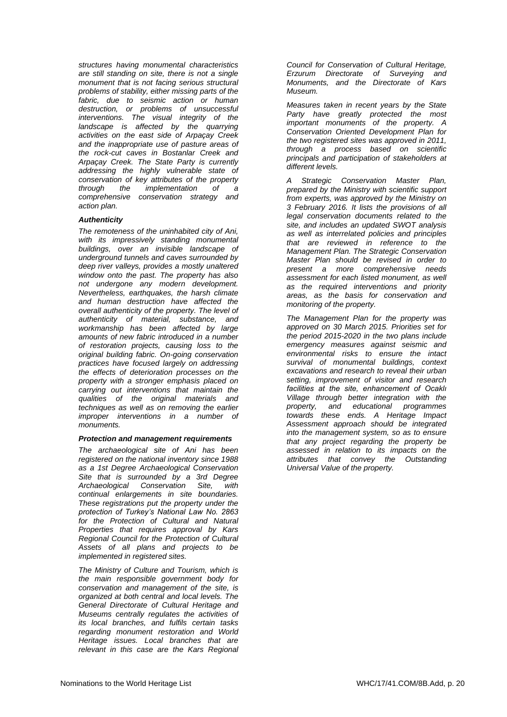*structures having monumental characteristics are still standing on site, there is not a single monument that is not facing serious structural problems of stability, either missing parts of the fabric, due to seismic action or human destruction, or problems of unsuccessful interventions. The visual integrity of the landscape is affected by the quarrying activities on the east side of Arpaçay Creek and the inappropriate use of pasture areas of the rock-cut caves in Bostanlar Creek and Arpaçay Creek. The State Party is currently addressing the highly vulnerable state of conservation of key attributes of the property through the implementation of a comprehensive conservation strategy and action plan.* 

#### *Authenticity*

*The remoteness of the uninhabited city of Ani, with its impressively standing monumental buildings, over an invisible landscape of underground tunnels and caves surrounded by deep river valleys, provides a mostly unaltered window onto the past. The property has also not undergone any modern development. Nevertheless, earthquakes, the harsh climate and human destruction have affected the overall authenticity of the property. The level of authenticity of material, substance, and workmanship has been affected by large amounts of new fabric introduced in a number of restoration projects, causing loss to the original building fabric. On-going conservation practices have focused largely on addressing the effects of deterioration processes on the property with a stronger emphasis placed on carrying out interventions that maintain the qualities of the original materials and techniques as well as on removing the earlier improper interventions in a number of monuments.* 

#### *Protection and management requirements*

*The archaeological site of Ani has been registered on the national inventory since 1988 as a 1st Degree Archaeological Conservation Site that is surrounded by a 3rd Degree Archaeological Conservation Site, with continual enlargements in site boundaries. These registrations put the property under the protection of Turkey's National Law No. 2863 for the Protection of Cultural and Natural Properties that requires approval by Kars Regional Council for the Protection of Cultural Assets of all plans and projects to be implemented in registered sites.*

*The Ministry of Culture and Tourism, which is the main responsible government body for conservation and management of the site, is organized at both central and local levels. The General Directorate of Cultural Heritage and Museums centrally regulates the activities of its local branches, and fulfils certain tasks regarding monument restoration and World Heritage issues. Local branches that are relevant in this case are the Kars Regional*  *Council for Conservation of Cultural Heritage, Erzurum Directorate of Surveying and Monuments, and the Directorate of Kars Museum.*

*Measures taken in recent years by the State Party have greatly protected the most important monuments of the property. A Conservation Oriented Development Plan for the two registered sites was approved in 2011, through a process based on scientific principals and participation of stakeholders at different levels.*

*A Strategic Conservation Master Plan, prepared by the Ministry with scientific support from experts, was approved by the Ministry on 3 February 2016. It lists the provisions of all legal conservation documents related to the site, and includes an updated SWOT analysis as well as interrelated policies and principles that are reviewed in reference to the Management Plan. The Strategic Conservation Master Plan should be revised in order to present a more comprehensive needs assessment for each listed monument, as well as the required interventions and priority areas, as the basis for conservation and monitoring of the property.* 

*The Management Plan for the property was approved on 30 March 2015. Priorities set for the period 2015-2020 in the two plans include emergency measures against seismic and environmental risks to ensure the intact survival of monumental buildings, context excavations and research to reveal their urban setting, improvement of visitor and research facilities at the site, enhancement of Ocaklı Village through better integration with the property, and educational programmes towards these ends. A Heritage Impact Assessment approach should be integrated into the management system, so as to ensure that any project regarding the property be assessed in relation to its impacts on the attributes that convey the Outstanding Universal Value of the property.*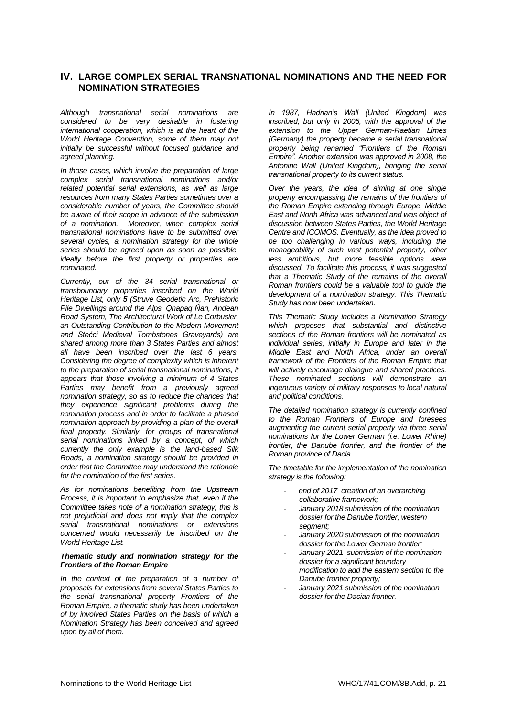### **IV. LARGE COMPLEX SERIAL TRANSNATIONAL NOMINATIONS AND THE NEED FOR NOMINATION STRATEGIES**

*Although transnational serial nominations are considered to be very desirable in fostering international cooperation, which is at the heart of the World Heritage Convention, some of them may not initially be successful without focused guidance and agreed planning.*

*In those cases, which involve the preparation of large complex serial transnational nominations and/or related potential serial extensions, as well as large resources from many States Parties sometimes over a considerable number of years, the Committee should be aware of their scope in advance of the submission of a nomination. Moreover, when complex serial transnational nominations have to be submitted over several cycles, a nomination strategy for the whole series should be agreed upon as soon as possible, ideally before the first property or properties are nominated.* 

*Currently, out of the 34 serial transnational or transboundary properties inscribed on the World Heritage List, only 5 (Struve Geodetic Arc, Prehistoric Pile Dwellings around the Alps, Qhapaq Ñan, Andean Road System, The Architectural Work of Le Corbusier, an Outstanding Contribution to the Modern Movement and Stećci Medieval Tombstones Graveyards) are shared among more than 3 States Parties and almost all have been inscribed over the last 6 years. Considering the degree of complexity which is inherent to the preparation of serial transnational nominations, it appears that those involving a minimum of 4 States Parties may benefit from a previously agreed nomination strategy, so as to reduce the chances that they experience significant problems during the nomination process and in order to facilitate a phased nomination approach by providing a plan of the overall final property. Similarly, for groups of transnational serial nominations linked by a concept, of which currently the only example is the land-based Silk Roads, a nomination strategy should be provided in order that the Committee may understand the rationale for the nomination of the first series.*

*As for nominations benefiting from the Upstream Process, it is important to emphasize that, even if the Committee takes note of a nomination strategy, this is not prejudicial and does not imply that the complex serial transnational nominations or extensions concerned would necessarily be inscribed on the World Heritage List.*

#### *Thematic study and nomination strategy for the Frontiers of the Roman Empire*

*In the context of the preparation of a number of proposals for extensions from several States Parties to the serial transnational property Frontiers of the Roman Empire, a thematic study has been undertaken of by involved States Parties on the basis of which a Nomination Strategy has been conceived and agreed upon by all of them.*

*In 1987, Hadrian's Wall (United Kingdom) was inscribed, but only in 2005, with the approval of the extension to the Upper German-Raetian Limes (Germany) the property became a serial transnational property being renamed "Frontiers of the Roman Empire". Another extension was approved in 2008, the Antonine Wall (United Kingdom), bringing the serial transnational property to its current status.* 

*Over the years, the idea of aiming at one single property encompassing the remains of the frontiers of the Roman Empire extending through Europe, Middle East and North Africa was advanced and was object of discussion between States Parties, the World Heritage Centre and ICOMOS. Eventually, as the idea proved to be too challenging in various ways, including the manageability of such vast potential property, other less ambitious, but more feasible options were discussed. To facilitate this process, it was suggested that a Thematic Study of the remains of the overall Roman frontiers could be a valuable tool to guide the development of a nomination strategy. This Thematic Study has now been undertaken.*

*This Thematic Study includes a Nomination Strategy which proposes that substantial and distinctive sections of the Roman frontiers will be nominated as individual series, initially in Europe and later in the Middle East and North Africa, under an overall framework of the Frontiers of the Roman Empire that will actively encourage dialogue and shared practices. These nominated sections will demonstrate an ingenuous variety of military responses to local natural and political conditions.* 

*The detailed nomination strategy is currently confined to the Roman Frontiers of Europe and foresees augmenting the current serial property via three serial nominations for the Lower German (i.e. Lower Rhine) frontier, the Danube frontier, and the frontier of the Roman province of Dacia.*

*The timetable for the implementation of the nomination strategy is the following:*

- *end of 2017 creation of an overarching collaborative framework;*
- *January 2018 submission of the nomination dossier for the Danube frontier, western segment;*
- *January 2020 submission of the nomination dossier for the Lower German frontier;*
- *January 2021 submission of the nomination dossier for a significant boundary modification to add the eastern section to the Danube frontier property;*
- *January 2021 submission of the nomination dossier for the Dacian frontier.*